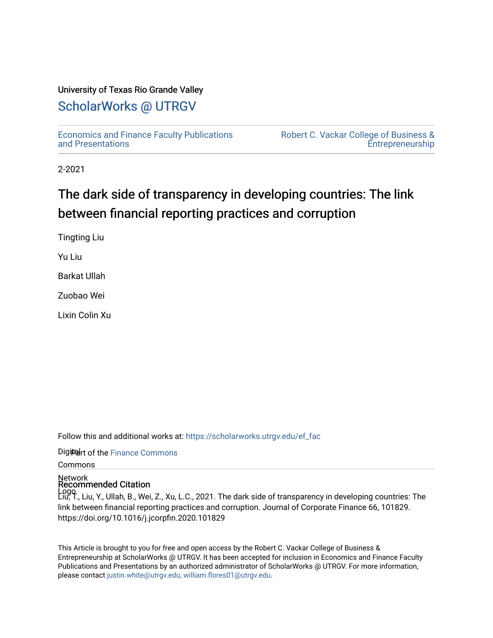### University of Texas Rio Grande Valley

## [ScholarWorks @ UTRGV](https://scholarworks.utrgv.edu/)

[Economics and Finance Faculty Publications](https://scholarworks.utrgv.edu/ef_fac)  [and Presentations](https://scholarworks.utrgv.edu/ef_fac) 

[Robert C. Vackar College of Business &](https://scholarworks.utrgv.edu/rcvcbe)  [Entrepreneurship](https://scholarworks.utrgv.edu/rcvcbe) 

2-2021

# The dark side of transparency in developing countries: The link between financial reporting practices and corruption

Tingting Liu

Yu Liu

Barkat Ullah

Zuobao Wei

Lixin Colin Xu

Follow this and additional works at: [https://scholarworks.utrgv.edu/ef\\_fac](https://scholarworks.utrgv.edu/ef_fac?utm_source=scholarworks.utrgv.edu%2Fef_fac%2F142&utm_medium=PDF&utm_campaign=PDFCoverPages)

Digiteart of the Finance Commons

Commons

Network Recommended Citation

Logo Liu, T., Liu, Y., Ullah, B., Wei, Z., Xu, L.C., 2021. The dark side of transparency in developing countries: The link between financial reporting practices and corruption. Journal of Corporate Finance 66, 101829. https://doi.org/10.1016/j.jcorpfin.2020.101829

This Article is brought to you for free and open access by the Robert C. Vackar College of Business & Entrepreneurship at ScholarWorks @ UTRGV. It has been accepted for inclusion in Economics and Finance Faculty Publications and Presentations by an authorized administrator of ScholarWorks @ UTRGV. For more information, please contact [justin.white@utrgv.edu, william.flores01@utrgv.edu](mailto:justin.white@utrgv.edu,%20william.flores01@utrgv.edu).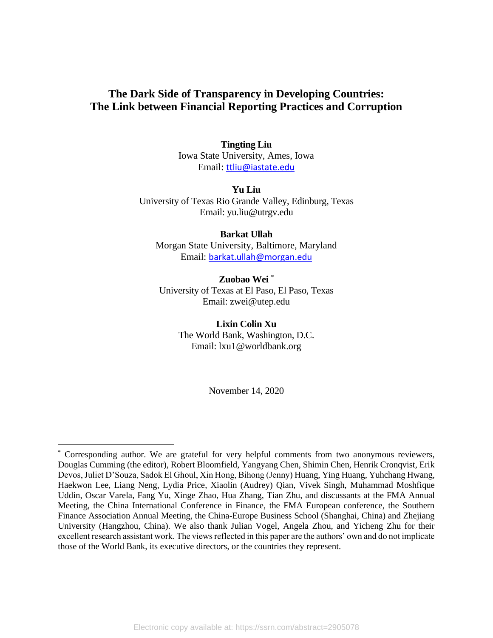## **The Dark Side of Transparency in Developing Countries: The Link between Financial Reporting Practices and Corruption**

**Tingting Liu**  Iowa State University, Ames, Iowa Email: ttliu@iastate.edu

**Yu Liu** University of Texas Rio Grande Valley, Edinburg, Texas Email: yu.liu@utrgv.edu

**Barkat Ullah** Morgan State University, Baltimore, Maryland Email: barkat.ullah@morgan.edu

**Zuobao Wei** \* University of Texas at El Paso, El Paso, Texas Email: zwei@utep.edu

> **Lixin Colin Xu**  The World Bank, Washington, D.C. Email: lxu1@worldbank.org

> > November 14, 2020

<sup>\*</sup> Corresponding author. We are grateful for very helpful comments from two anonymous reviewers, Douglas Cumming (the editor), Robert Bloomfield, Yangyang Chen, Shimin Chen, Henrik Cronqvist, Erik Devos, Juliet D'Souza, Sadok El Ghoul, Xin Hong, Bihong (Jenny) Huang, Ying Huang, Yuhchang Hwang, Haekwon Lee, Liang Neng, Lydia Price, Xiaolin (Audrey) Qian, Vivek Singh, [Muhammad Moshfique](mailto:m.m.uddin@leeds.ac.uk)  [Uddin,](mailto:m.m.uddin@leeds.ac.uk) Oscar Varela, Fang Yu, Xinge Zhao, Hua Zhang, Tian Zhu, and discussants at the FMA Annual Meeting, the China International Conference in Finance, the FMA European conference, the Southern Finance Association Annual Meeting, the China-Europe Business School (Shanghai, China) and Zhejiang University (Hangzhou, China). We also thank Julian Vogel, Angela Zhou, and Yicheng Zhu for their excellent research assistant work. The views reflected in this paper are the authors' own and do not implicate those of the World Bank, its executive directors, or the countries they represent.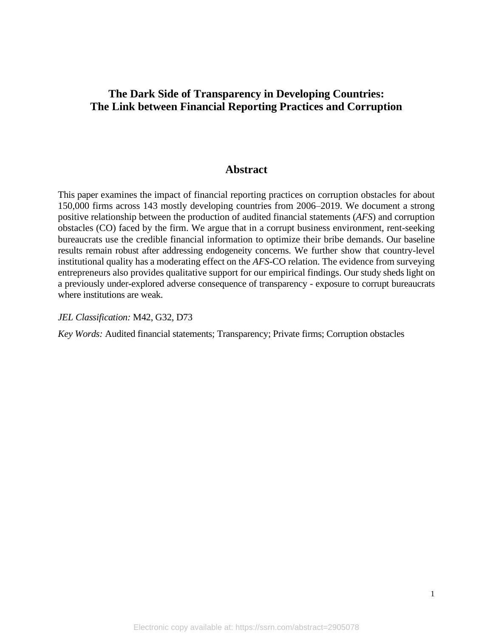## **The Dark Side of Transparency in Developing Countries: The Link between Financial Reporting Practices and Corruption**

## **Abstract**

This paper examines the impact of financial reporting practices on corruption obstacles for about 150,000 firms across 143 mostly developing countries from 2006–2019. We document a strong positive relationship between the production of audited financial statements (*AFS*) and corruption obstacles (CO) faced by the firm. We argue that in a corrupt business environment, rent-seeking bureaucrats use the credible financial information to optimize their bribe demands. Our baseline results remain robust after addressing endogeneity concerns. We further show that country-level institutional quality has a moderating effect on the *AFS*-CO relation. The evidence from surveying entrepreneurs also provides qualitative support for our empirical findings. Our study sheds light on a previously under-explored adverse consequence of transparency - exposure to corrupt bureaucrats where institutions are weak.

#### *JEL Classification:* M42, G32, D73

*Key Words:* Audited financial statements; Transparency; Private firms; Corruption obstacles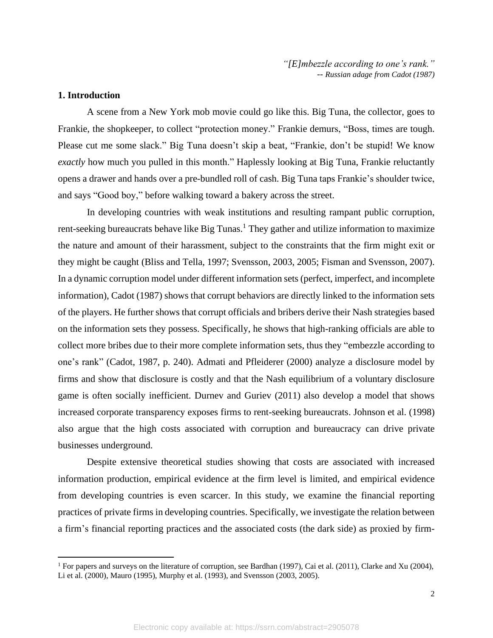*"[E]mbezzle according to one's rank." -- Russian adage from Cadot (1987)*

#### **1. Introduction**

A scene from a New York mob movie could go like this. Big Tuna, the collector, goes to Frankie, the shopkeeper, to collect "protection money." Frankie demurs, "Boss, times are tough. Please cut me some slack." Big Tuna doesn't skip a beat, "Frankie, don't be stupid! We know *exactly* how much you pulled in this month." Haplessly looking at Big Tuna, Frankie reluctantly opens a drawer and hands over a pre-bundled roll of cash. Big Tuna taps Frankie's shoulder twice, and says "Good boy," before walking toward a bakery across the street.

In developing countries with weak institutions and resulting rampant public corruption, rent-seeking bureaucrats behave like Big Tunas.<sup>1</sup> They gather and utilize information to maximize the nature and amount of their harassment, subject to the constraints that the firm might exit or they might be caught (Bliss and Tella, 1997; Svensson, 2003, 2005; Fisman and Svensson, 2007). In a dynamic corruption model under different information sets (perfect, imperfect, and incomplete information), Cadot (1987) shows that corrupt behaviors are directly linked to the information sets of the players. He further shows that corrupt officials and bribers derive their Nash strategies based on the information sets they possess. Specifically, he shows that high-ranking officials are able to collect more bribes due to their more complete information sets, thus they "embezzle according to one's rank" (Cadot, 1987, p. 240). Admati and Pfleiderer (2000) analyze a disclosure model by firms and show that disclosure is costly and that the Nash equilibrium of a voluntary disclosure game is often socially inefficient. Durnev and Guriev (2011) also develop a model that shows increased corporate transparency exposes firms to rent-seeking bureaucrats. Johnson et al. (1998) also argue that the high costs associated with corruption and bureaucracy can drive private businesses underground.

Despite extensive theoretical studies showing that costs are associated with increased information production, empirical evidence at the firm level is limited, and empirical evidence from developing countries is even scarcer. In this study, we examine the financial reporting practices of private firms in developing countries. Specifically, we investigate the relation between a firm's financial reporting practices and the associated costs (the dark side) as proxied by firm-

<sup>&</sup>lt;sup>1</sup> For papers and surveys on the literature of corruption, see Bardhan (1997), Cai et al. (2011), Clarke and Xu (2004), Li et al. (2000), Mauro (1995), Murphy et al. (1993), and Svensson (2003, 2005).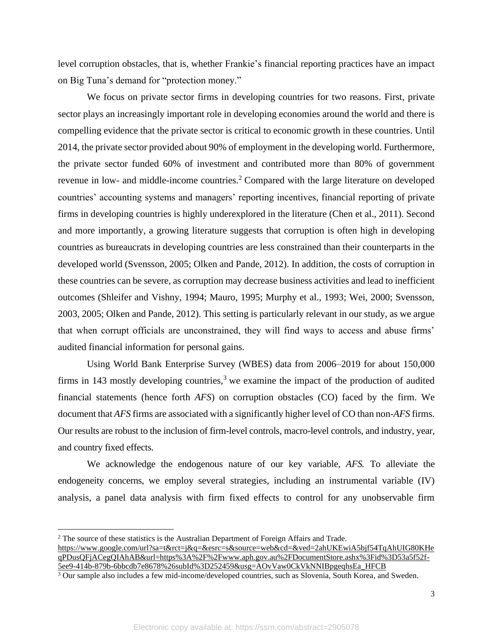level corruption obstacles, that is, whether Frankie's financial reporting practices have an impact on Big Tuna's demand for "protection money."

We focus on private sector firms in developing countries for two reasons. First, private sector plays an increasingly important role in developing economies around the world and there is compelling evidence that the private sector is critical to economic growth in these countries. Until 2014, the private sector provided about 90% of employment in the developing world. Furthermore, the private sector funded 60% of investment and contributed more than 80% of government revenue in low- and middle-income countries.<sup>2</sup> Compared with the large literature on developed countries' accounting systems and managers' reporting incentives, financial reporting of private firms in developing countries is highly underexplored in the literature (Chen et al., 2011). Second and more importantly, a growing literature suggests that corruption is often high in developing countries as bureaucrats in developing countries are less constrained than their counterparts in the developed world (Svensson, 2005; Olken and Pande, 2012). In addition, the costs of corruption in these countries can be severe, as corruption may decrease business activities and lead to inefficient outcomes (Shleifer and Vishny, 1994; Mauro, 1995; Murphy et al., 1993; Wei, 2000; Svensson, 2003, 2005; Olken and Pande, 2012). This setting is particularly relevant in our study, as we argue that when corrupt officials are unconstrained, they will find ways to access and abuse firms' audited financial information for personal gains.

Using World Bank Enterprise Survey (WBES) data from 2006–2019 for about 150,000 firms in 143 mostly developing countries,<sup>3</sup> we examine the impact of the production of audited financial statements (hence forth *AFS*) on corruption obstacles (CO) faced by the firm. We document that *AFS* firms are associated with a significantly higher level of CO than non-*AFS* firms. Our results are robust to the inclusion of firm-level controls, macro-level controls, and industry, year, and country fixed effects.

We acknowledge the endogenous nature of our key variable, *AFS.* To alleviate the endogeneity concerns, we employ several strategies, including an instrumental variable (IV) analysis, a panel data analysis with firm fixed effects to control for any unobservable firm

<sup>2</sup> The source of these statistics is the Australian Department of Foreign Affairs and Trade. [https://www.google.com/url?sa=t&rct=j&q=&esrc=s&source=web&cd=&ved=2ahUKEwiA5bjf54TqAhUIG80KHe](https://www.google.com/url?sa=t&rct=j&q=&esrc=s&source=web&cd=&ved=2ahUKEwiA5bjf54TqAhUIG80KHeqPDusQFjACegQIAhAB&url=https%3A%2F%2Fwww.aph.gov.au%2FDocumentStore.ashx%3Fid%3D53a5f52f-5ee9-414b-879b-6bbcdb7e8678%26subId%3D252459&usg=AOvVaw0CkVkNNIBpgeqhsEa_HFCB) [qPDusQFjACegQIAhAB&url=https%3A%2F%2Fwww.aph.gov.au%2FDocumentStore.ashx%3Fid%3D53a5f52f-](https://www.google.com/url?sa=t&rct=j&q=&esrc=s&source=web&cd=&ved=2ahUKEwiA5bjf54TqAhUIG80KHeqPDusQFjACegQIAhAB&url=https%3A%2F%2Fwww.aph.gov.au%2FDocumentStore.ashx%3Fid%3D53a5f52f-5ee9-414b-879b-6bbcdb7e8678%26subId%3D252459&usg=AOvVaw0CkVkNNIBpgeqhsEa_HFCB)[5ee9-414b-879b-6bbcdb7e8678%26subId%3D252459&usg=AOvVaw0CkVkNNIBpgeqhsEa\\_HFCB](https://www.google.com/url?sa=t&rct=j&q=&esrc=s&source=web&cd=&ved=2ahUKEwiA5bjf54TqAhUIG80KHeqPDusQFjACegQIAhAB&url=https%3A%2F%2Fwww.aph.gov.au%2FDocumentStore.ashx%3Fid%3D53a5f52f-5ee9-414b-879b-6bbcdb7e8678%26subId%3D252459&usg=AOvVaw0CkVkNNIBpgeqhsEa_HFCB)

<sup>&</sup>lt;sup>3</sup> Our sample also includes a few mid-income/developed countries, such as Slovenia, South Korea, and Sweden.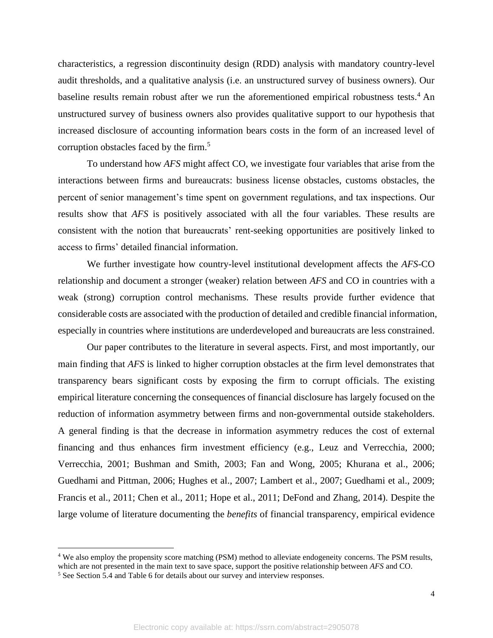characteristics, a regression discontinuity design (RDD) analysis with mandatory country-level audit thresholds, and a qualitative analysis (i.e. an unstructured survey of business owners). Our baseline results remain robust after we run the aforementioned empirical robustness tests.<sup>4</sup> An unstructured survey of business owners also provides qualitative support to our hypothesis that increased disclosure of accounting information bears costs in the form of an increased level of corruption obstacles faced by the firm. 5

To understand how *AFS* might affect CO, we investigate four variables that arise from the interactions between firms and bureaucrats: business license obstacles, customs obstacles, the percent of senior management's time spent on government regulations, and tax inspections. Our results show that *AFS* is positively associated with all the four variables. These results are consistent with the notion that bureaucrats' rent-seeking opportunities are positively linked to access to firms' detailed financial information.

We further investigate how country-level institutional development affects the *AFS*-CO relationship and document a stronger (weaker) relation between *AFS* and CO in countries with a weak (strong) corruption control mechanisms. These results provide further evidence that considerable costs are associated with the production of detailed and credible financial information, especially in countries where institutions are underdeveloped and bureaucrats are less constrained.

Our paper contributes to the literature in several aspects. First, and most importantly, our main finding that *AFS* is linked to higher corruption obstacles at the firm level demonstrates that transparency bears significant costs by exposing the firm to corrupt officials. The existing empirical literature concerning the consequences of financial disclosure has largely focused on the reduction of information asymmetry between firms and non-governmental outside stakeholders. A general finding is that the decrease in information asymmetry reduces the cost of external financing and thus enhances firm investment efficiency (e.g., Leuz and Verrecchia, 2000; Verrecchia, 2001; Bushman and Smith, 2003; Fan and Wong, 2005; Khurana et al., 2006; Guedhami and Pittman, 2006; Hughes et al., 2007; Lambert et al., 2007; Guedhami et al., 2009; Francis et al., 2011; Chen et al., 2011; Hope et al., 2011; DeFond and Zhang, 2014). Despite the large volume of literature documenting the *benefits* of financial transparency, empirical evidence

<sup>4</sup> We also employ the propensity score matching (PSM) method to alleviate endogeneity concerns. The PSM results, which are not presented in the main text to save space, support the positive relationship between *AFS* and CO.

<sup>5</sup> See Section 5.4 and Table 6 for details about our survey and interview responses.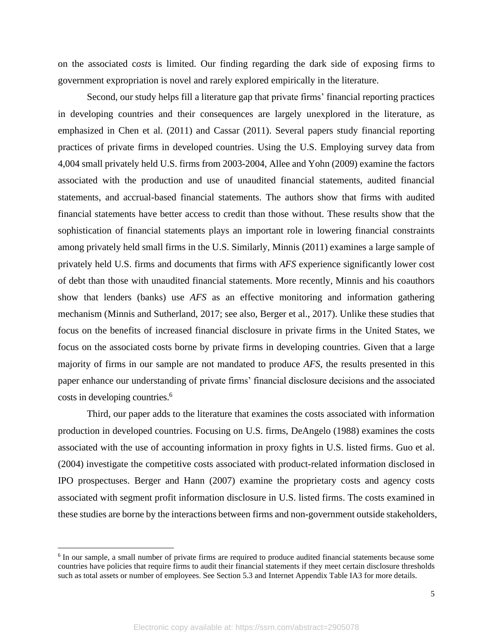on the associated c*osts* is limited. Our finding regarding the dark side of exposing firms to government expropriation is novel and rarely explored empirically in the literature.

Second, our study helps fill a literature gap that private firms' financial reporting practices in developing countries and their consequences are largely unexplored in the literature, as emphasized in Chen et al. (2011) and Cassar (2011). Several papers study financial reporting practices of private firms in developed countries. Using the U.S. Employing survey data from 4,004 small privately held U.S. firms from 2003-2004, Allee and Yohn (2009) examine the factors associated with the production and use of unaudited financial statements, audited financial statements, and accrual-based financial statements. The authors show that firms with audited financial statements have better access to credit than those without. These results show that the sophistication of financial statements plays an important role in lowering financial constraints among privately held small firms in the U.S. Similarly, Minnis (2011) examines a large sample of privately held U.S. firms and documents that firms with *AFS* experience significantly lower cost of debt than those with unaudited financial statements. More recently, Minnis and his coauthors show that lenders (banks) use *AFS* as an effective monitoring and information gathering mechanism (Minnis and Sutherland, 2017; see also, Berger et al., 2017). Unlike these studies that focus on the benefits of increased financial disclosure in private firms in the United States, we focus on the associated costs borne by private firms in developing countries. Given that a large majority of firms in our sample are not mandated to produce *AFS*, the results presented in this paper enhance our understanding of private firms' financial disclosure decisions and the associated costs in developing countries.<sup>6</sup>

Third, our paper adds to the literature that examines the costs associated with information production in developed countries. Focusing on U.S. firms, DeAngelo (1988) examines the costs associated with the use of accounting information in proxy fights in U.S. listed firms. Guo et al. (2004) investigate the competitive costs associated with product-related information disclosed in IPO prospectuses. Berger and Hann (2007) examine the proprietary costs and agency costs associated with segment profit information disclosure in U.S. listed firms. The costs examined in these studies are borne by the interactions between firms and non-government outside stakeholders,

<sup>&</sup>lt;sup>6</sup> In our sample, a small number of private firms are required to produce audited financial statements because some countries have policies that require firms to audit their financial statements if they meet certain disclosure thresholds such as total assets or number of employees. See Section 5.3 and Internet Appendix Table IA3 for more details.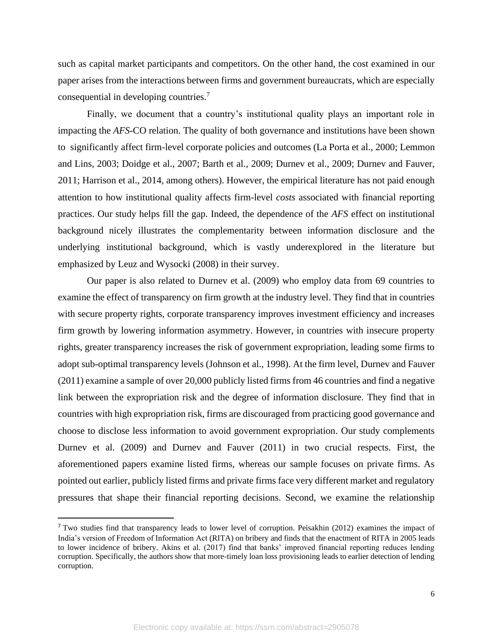such as capital market participants and competitors. On the other hand, the cost examined in our paper arises from the interactions between firms and government bureaucrats, which are especially consequential in developing countries.<sup>7</sup>

Finally, we document that a country's institutional quality plays an important role in impacting the *AFS*-CO relation. The quality of both governance and institutions have been shown to significantly affect firm-level corporate policies and outcomes (La Porta et al., 2000; Lemmon and Lins, 2003; Doidge et al., 2007; Barth et al., 2009; Durnev et al., 2009; Durnev and Fauver, 2011; Harrison et al., 2014, among others). However, the empirical literature has not paid enough attention to how institutional quality affects firm-level *costs* associated with financial reporting practices. Our study helps fill the gap. Indeed, the dependence of the *AFS* effect on institutional background nicely illustrates the complementarity between information disclosure and the underlying institutional background, which is vastly underexplored in the literature but emphasized by Leuz and Wysocki (2008) in their survey.

Our paper is also related to Durnev et al. (2009) who employ data from 69 countries to examine the effect of transparency on firm growth at the industry level. They find that in countries with secure property rights, corporate transparency improves investment efficiency and increases firm growth by lowering information asymmetry. However, in countries with insecure property rights, greater transparency increases the risk of government expropriation, leading some firms to adopt sub-optimal transparency levels (Johnson et al., 1998). At the firm level, Durnev and Fauver (2011) examine a sample of over 20,000 publicly listed firms from 46 countries and find a negative link between the expropriation risk and the degree of information disclosure. They find that in countries with high expropriation risk, firms are discouraged from practicing good governance and choose to disclose less information to avoid government expropriation. Our study complements Durnev et al. (2009) and Durnev and Fauver (2011) in two crucial respects. First, the aforementioned papers examine listed firms, whereas our sample focuses on private firms. As pointed out earlier, publicly listed firms and private firms face very different market and regulatory pressures that shape their financial reporting decisions. Second, we examine the relationship

<sup>&</sup>lt;sup>7</sup> Two studies find that transparency leads to lower level of corruption. Peisakhin (2012) examines the impact of India's version of Freedom of Information Act (RITA) on bribery and finds that the enactment of RITA in 2005 leads to lower incidence of bribery. Akins et al. (2017) find that banks' improved financial reporting reduces lending corruption. Specifically, the authors show that more-timely loan loss provisioning leads to earlier detection of lending corruption.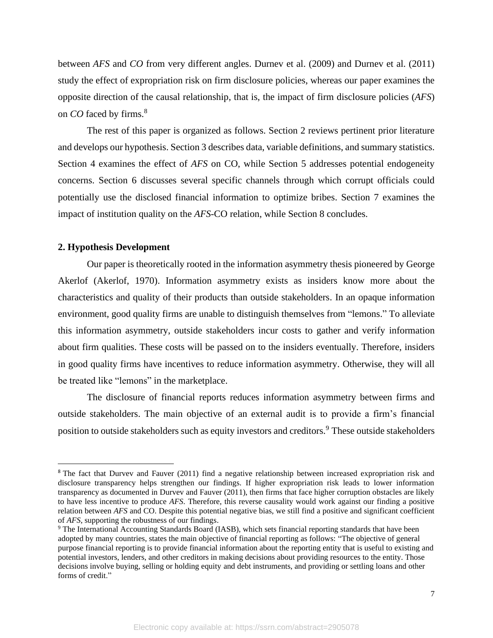between *AFS* and *CO* from very different angles. Durnev et al. (2009) and Durnev et al. (2011) study the effect of expropriation risk on firm disclosure policies, whereas our paper examines the opposite direction of the causal relationship, that is, the impact of firm disclosure policies (*AFS*) on *CO* faced by firms.<sup>8</sup>

The rest of this paper is organized as follows. Section 2 reviews pertinent prior literature and develops our hypothesis. Section 3 describes data, variable definitions, and summary statistics. Section 4 examines the effect of *AFS* on CO, while Section 5 addresses potential endogeneity concerns. Section 6 discusses several specific channels through which corrupt officials could potentially use the disclosed financial information to optimize bribes. Section 7 examines the impact of institution quality on the *AFS*-CO relation, while Section 8 concludes.

#### **2. Hypothesis Development**

Our paper is theoretically rooted in the information asymmetry thesis pioneered by George Akerlof (Akerlof, 1970). Information asymmetry exists as insiders know more about the characteristics and quality of their products than outside stakeholders. In an opaque information environment, good quality firms are unable to distinguish themselves from "lemons." To alleviate this information asymmetry, outside stakeholders incur costs to gather and verify information about firm qualities. These costs will be passed on to the insiders eventually. Therefore, insiders in good quality firms have incentives to reduce information asymmetry. Otherwise, they will all be treated like "lemons" in the marketplace.

The disclosure of financial reports reduces information asymmetry between firms and outside stakeholders. The main objective of an external audit is to provide a firm's financial position to outside stakeholders such as equity investors and creditors.<sup>9</sup> These outside stakeholders

<sup>8</sup> The fact that Durvev and Fauver (2011) find a negative relationship between increased expropriation risk and disclosure transparency helps strengthen our findings. If higher expropriation risk leads to lower information transparency as documented in Durvev and Fauver (2011), then firms that face higher corruption obstacles are likely to have less incentive to produce *AFS*. Therefore, this reverse causality would work against our finding a positive relation between *AFS* and CO. Despite this potential negative bias, we still find a positive and significant coefficient of *AFS*, supporting the robustness of our findings.

<sup>9</sup> The International Accounting Standards Board (IASB), which sets financial reporting standards that have been adopted by many countries, states the main objective of financial reporting as follows: "The objective of general purpose financial reporting is to provide financial information about the reporting entity that is useful to existing and potential investors, lenders, and other creditors in making decisions about providing resources to the entity. Those decisions involve buying, selling or holding equity and debt instruments, and providing or settling loans and other forms of credit."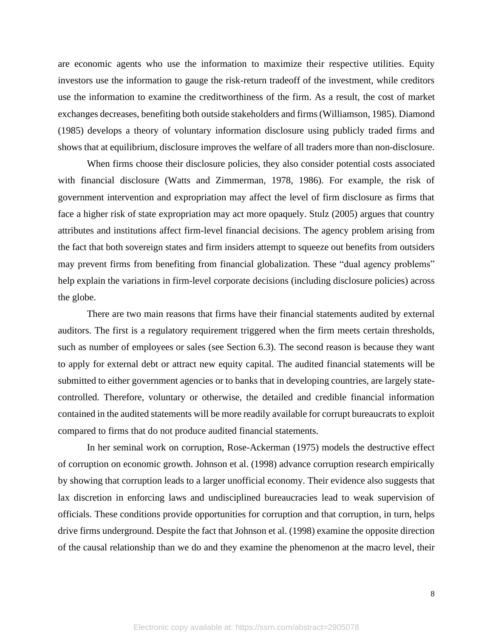are economic agents who use the information to maximize their respective utilities. Equity investors use the information to gauge the risk-return tradeoff of the investment, while creditors use the information to examine the creditworthiness of the firm. As a result, the cost of market exchanges decreases, benefiting both outside stakeholders and firms(Williamson, 1985). Diamond (1985) develops a theory of voluntary information disclosure using publicly traded firms and shows that at equilibrium, disclosure improves the welfare of all traders more than non-disclosure.

When firms choose their disclosure policies, they also consider potential costs associated with financial disclosure (Watts and Zimmerman, 1978, 1986). For example, the risk of government intervention and expropriation may affect the level of firm disclosure as firms that face a higher risk of state expropriation may act more opaquely. Stulz (2005) argues that country attributes and institutions affect firm-level financial decisions. The agency problem arising from the fact that both sovereign states and firm insiders attempt to squeeze out benefits from outsiders may prevent firms from benefiting from financial globalization. These "dual agency problems" help explain the variations in firm-level corporate decisions (including disclosure policies) across the globe.

There are two main reasons that firms have their financial statements audited by external auditors. The first is a regulatory requirement triggered when the firm meets certain thresholds, such as number of employees or sales (see Section 6.3). The second reason is because they want to apply for external debt or attract new equity capital. The audited financial statements will be submitted to either government agencies or to banks that in developing countries, are largely statecontrolled. Therefore, voluntary or otherwise, the detailed and credible financial information contained in the audited statements will be more readily available for corrupt bureaucrats to exploit compared to firms that do not produce audited financial statements.

In her seminal work on corruption, Rose-Ackerman (1975) models the destructive effect of corruption on economic growth. Johnson et al. (1998) advance corruption research empirically by showing that corruption leads to a larger unofficial economy. Their evidence also suggests that lax discretion in enforcing laws and undisciplined bureaucracies lead to weak supervision of officials. These conditions provide opportunities for corruption and that corruption, in turn, helps drive firms underground. Despite the fact that Johnson et al. (1998) examine the opposite direction of the causal relationship than we do and they examine the phenomenon at the macro level, their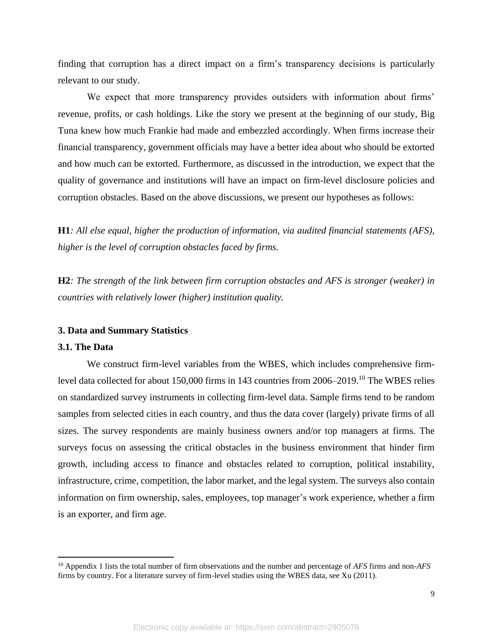finding that corruption has a direct impact on a firm's transparency decisions is particularly relevant to our study.

We expect that more transparency provides outsiders with information about firms' revenue, profits, or cash holdings. Like the story we present at the beginning of our study, Big Tuna knew how much Frankie had made and embezzled accordingly. When firms increase their financial transparency, government officials may have a better idea about who should be extorted and how much can be extorted. Furthermore, as discussed in the introduction, we expect that the quality of governance and institutions will have an impact on firm-level disclosure policies and corruption obstacles. Based on the above discussions, we present our hypotheses as follows:

**H1***: All else equal, higher the production of information, via audited financial statements (AFS), higher is the level of corruption obstacles faced by firms.*

**H2***: The strength of the link between firm corruption obstacles and AFS is stronger (weaker) in countries with relatively lower (higher) institution quality.*

#### **3. Data and Summary Statistics**

#### **3.1. The Data**

We construct firm-level variables from the WBES, which includes comprehensive firmlevel data collected for about 150,000 firms in 143 countries from 2006–2019.<sup>10</sup> The WBES relies on standardized survey instruments in collecting firm-level data. Sample firms tend to be random samples from selected cities in each country, and thus the data cover (largely) private firms of all sizes. The survey respondents are mainly business owners and/or top managers at firms. The surveys focus on assessing the critical obstacles in the business environment that hinder firm growth, including access to finance and obstacles related to corruption, political instability, infrastructure, crime, competition, the labor market, and the legal system. The surveys also contain information on firm ownership, sales, employees, top manager's work experience, whether a firm is an exporter, and firm age.

<sup>10</sup> Appendix 1 lists the total number of firm observations and the number and percentage of *AFS* firms and non-*AFS*  firms by country. For a literature survey of firm-level studies using the WBES data, see Xu (2011).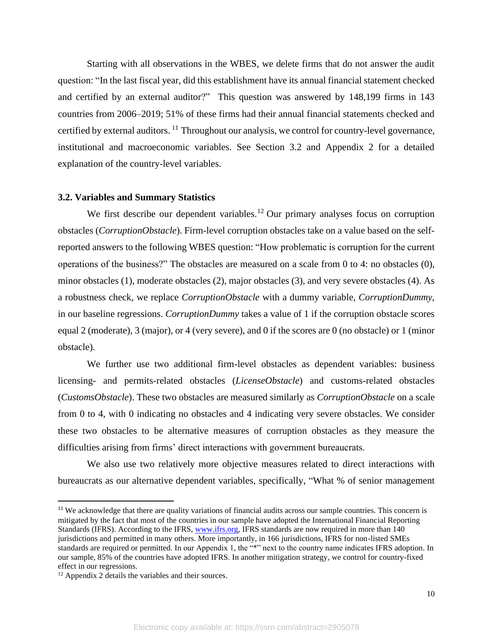Starting with all observations in the WBES, we delete firms that do not answer the audit question: "In the last fiscal year, did this establishment have its annual financial statement checked and certified by an external auditor?" This question was answered by 148,199 firms in 143 countries from 2006–2019; 51% of these firms had their annual financial statements checked and certified by external auditors. <sup>11</sup> Throughout our analysis, we control for country-level governance, institutional and macroeconomic variables. See Section 3.2 and Appendix 2 for a detailed explanation of the country-level variables.

#### **3.2. Variables and Summary Statistics**

We first describe our dependent variables.<sup>12</sup> Our primary analyses focus on corruption obstacles (*CorruptionObstacle*). Firm-level corruption obstacles take on a value based on the selfreported answers to the following WBES question: "How problematic is corruption for the current operations of the business?" The obstacles are measured on a scale from 0 to 4: no obstacles (0), minor obstacles (1), moderate obstacles (2), major obstacles (3), and very severe obstacles (4). As a robustness check, we replace *CorruptionObstacle* with a dummy variable, *CorruptionDummy,*  in our baseline regressions. *CorruptionDummy* takes a value of 1 if the corruption obstacle scores equal 2 (moderate), 3 (major), or 4 (very severe), and 0 if the scores are 0 (no obstacle) or 1 (minor obstacle).

We further use two additional firm-level obstacles as dependent variables: business licensing- and permits-related obstacles (*LicenseObstacle*) and customs-related obstacles (*CustomsObstacle*). These two obstacles are measured similarly as *CorruptionObstacle* on a scale from 0 to 4, with 0 indicating no obstacles and 4 indicating very severe obstacles. We consider these two obstacles to be alternative measures of corruption obstacles as they measure the difficulties arising from firms' direct interactions with government bureaucrats.

We also use two relatively more objective measures related to direct interactions with bureaucrats as our alternative dependent variables, specifically, "What % of senior management

 $11$  We acknowledge that there are quality variations of financial audits across our sample countries. This concern is mitigated by the fact that most of the countries in our sample have adopted the International Financial Reporting Standards (IFRS). According to the IFRS, [www.ifrs.org,](http://www.ifrs.org/) IFRS standards are now required in more than 140 jurisdictions and permitted in many others. More importantly, in 166 jurisdictions, IFRS for non-listed SMEs standards are required or permitted. In our Appendix 1, the "\*" next to the country name indicates IFRS adoption. In our sample, 85% of the countries have adopted IFRS. In another mitigation strategy, we control for country-fixed effect in our regressions.

<sup>12</sup> Appendix 2 details the variables and their sources.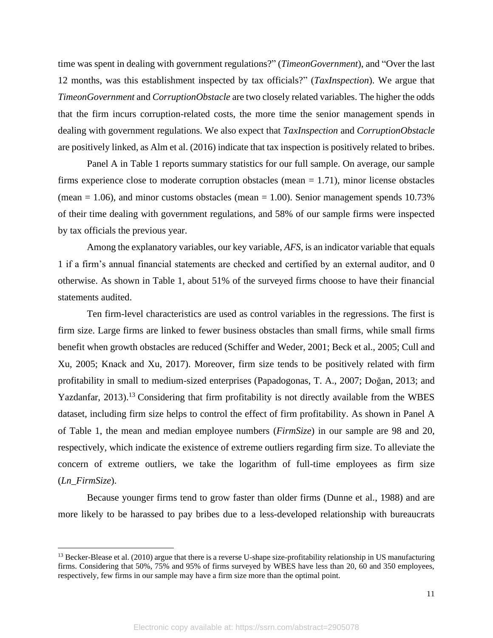time was spent in dealing with government regulations?" (*TimeonGovernment*), and "Over the last 12 months, was this establishment inspected by tax officials?" (*TaxInspection*). We argue that *TimeonGovernment* and *CorruptionObstacle* are two closely related variables. The higher the odds that the firm incurs corruption-related costs, the more time the senior management spends in dealing with government regulations. We also expect that *TaxInspection* and *CorruptionObstacle*  are positively linked, as Alm et al. (2016) indicate that tax inspection is positively related to bribes.

Panel A in Table 1 reports summary statistics for our full sample. On average, our sample firms experience close to moderate corruption obstacles (mean = 1.71), minor license obstacles (mean  $= 1.06$ ), and minor customs obstacles (mean  $= 1.00$ ). Senior management spends 10.73% of their time dealing with government regulations, and 58% of our sample firms were inspected by tax officials the previous year.

Among the explanatory variables, our key variable, *AFS*, is an indicator variable that equals 1 if a firm's annual financial statements are checked and certified by an external auditor, and 0 otherwise. As shown in Table 1, about 51% of the surveyed firms choose to have their financial statements audited.

Ten firm-level characteristics are used as control variables in the regressions. The first is firm size. Large firms are linked to fewer business obstacles than small firms, while small firms benefit when growth obstacles are reduced (Schiffer and Weder, 2001; Beck et al., 2005; Cull and Xu, 2005; Knack and Xu, 2017). Moreover, firm size tends to be positively related with firm profitability in small to medium-sized enterprises (Papadogonas, T. A., 2007; Doğan, 2013; and Yazdanfar, 2013).<sup>13</sup> Considering that firm profitability is not directly available from the WBES dataset, including firm size helps to control the effect of firm profitability. As shown in Panel A of Table 1, the mean and median employee numbers (*FirmSize*) in our sample are 98 and 20, respectively, which indicate the existence of extreme outliers regarding firm size. To alleviate the concern of extreme outliers, we take the logarithm of full-time employees as firm size (*Ln\_FirmSize*).

Because younger firms tend to grow faster than older firms (Dunne et al., 1988) and are more likely to be harassed to pay bribes due to a less-developed relationship with bureaucrats

 $13$  Becker-Blease et al. (2010) argue that there is a reverse U-shape size-profitability relationship in US manufacturing firms. Considering that 50%, 75% and 95% of firms surveyed by WBES have less than 20, 60 and 350 employees, respectively, few firms in our sample may have a firm size more than the optimal point.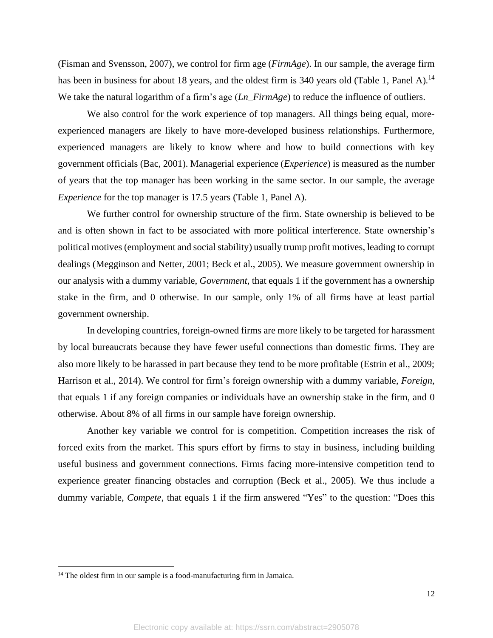(Fisman and Svensson, 2007), we control for firm age (*FirmAge*). In our sample, the average firm has been in business for about 18 years, and the oldest firm is 340 years old (Table 1, Panel A).<sup>14</sup> We take the natural logarithm of a firm's age (*Ln\_FirmAge*) to reduce the influence of outliers.

We also control for the work experience of top managers. All things being equal, moreexperienced managers are likely to have more-developed business relationships. Furthermore, experienced managers are likely to know where and how to build connections with key government officials (Bac, 2001). Managerial experience (*Experience*) is measured as the number of years that the top manager has been working in the same sector. In our sample, the average *Experience* for the top manager is 17.5 years (Table 1, Panel A).

We further control for ownership structure of the firm. State ownership is believed to be and is often shown in fact to be associated with more political interference. State ownership's political motives (employment and social stability) usually trump profit motives, leading to corrupt dealings (Megginson and Netter, 2001; Beck et al., 2005). We measure government ownership in our analysis with a dummy variable, *Government*, that equals 1 if the government has a ownership stake in the firm, and 0 otherwise. In our sample, only 1% of all firms have at least partial government ownership.

In developing countries, foreign-owned firms are more likely to be targeted for harassment by local bureaucrats because they have fewer useful connections than domestic firms. They are also more likely to be harassed in part because they tend to be more profitable (Estrin et al., 2009; Harrison et al., 2014). We control for firm's foreign ownership with a dummy variable, *Foreign*, that equals 1 if any foreign companies or individuals have an ownership stake in the firm, and 0 otherwise. About 8% of all firms in our sample have foreign ownership.

Another key variable we control for is competition. Competition increases the risk of forced exits from the market. This spurs effort by firms to stay in business, including building useful business and government connections. Firms facing more-intensive competition tend to experience greater financing obstacles and corruption (Beck et al., 2005). We thus include a dummy variable, *Compete*, that equals 1 if the firm answered "Yes" to the question: "Does this

<sup>&</sup>lt;sup>14</sup> The oldest firm in our sample is a food-manufacturing firm in Jamaica.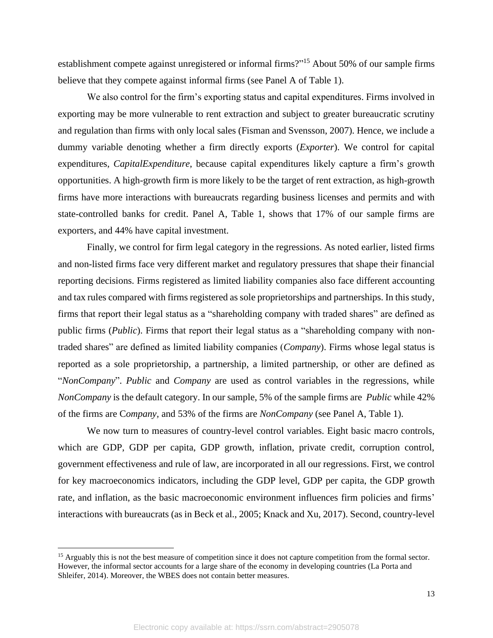establishment compete against unregistered or informal firms?"<sup>15</sup> About 50% of our sample firms believe that they compete against informal firms (see Panel A of Table 1).

 We also control for the firm's exporting status and capital expenditures. Firms involved in exporting may be more vulnerable to rent extraction and subject to greater bureaucratic scrutiny and regulation than firms with only local sales (Fisman and Svensson, 2007). Hence, we include a dummy variable denoting whether a firm directly exports (*Exporter*). We control for capital expenditures, *CapitalExpenditure*, because capital expenditures likely capture a firm's growth opportunities. A high-growth firm is more likely to be the target of rent extraction, as high-growth firms have more interactions with bureaucrats regarding business licenses and permits and with state-controlled banks for credit. Panel A, Table 1, shows that 17% of our sample firms are exporters, and 44% have capital investment.

Finally, we control for firm legal category in the regressions. As noted earlier, listed firms and non-listed firms face very different market and regulatory pressures that shape their financial reporting decisions. Firms registered as limited liability companies also face different accounting and tax rules compared with firms registered as sole proprietorships and partnerships. In this study, firms that report their legal status as a "shareholding company with traded shares" are defined as public firms (*Public*). Firms that report their legal status as a "shareholding company with nontraded shares" are defined as limited liability companies (*Company*). Firms whose legal status is reported as a sole proprietorship, a partnership, a limited partnership, or other are defined as "*NonCompany*". *Public* and *Company* are used as control variables in the regressions, while *NonCompany* is the default category. In our sample, 5% of the sample firms are *Public* while 42% of the firms are C*ompany,* and 53% of the firms are *NonCompany* (see Panel A, Table 1).

We now turn to measures of country-level control variables. Eight basic macro controls, which are GDP, GDP per capita, GDP growth, inflation, private credit, corruption control, government effectiveness and rule of law, are incorporated in all our regressions. First, we control for key macroeconomics indicators, including the GDP level, GDP per capita, the GDP growth rate, and inflation, as the basic macroeconomic environment influences firm policies and firms' interactions with bureaucrats (as in Beck et al., 2005; Knack and Xu, 2017). Second, country-level

<sup>&</sup>lt;sup>15</sup> Arguably this is not the best measure of competition since it does not capture competition from the formal sector. However, the informal sector accounts for a large share of the economy in developing countries (La Porta and Shleifer, 2014). Moreover, the WBES does not contain better measures.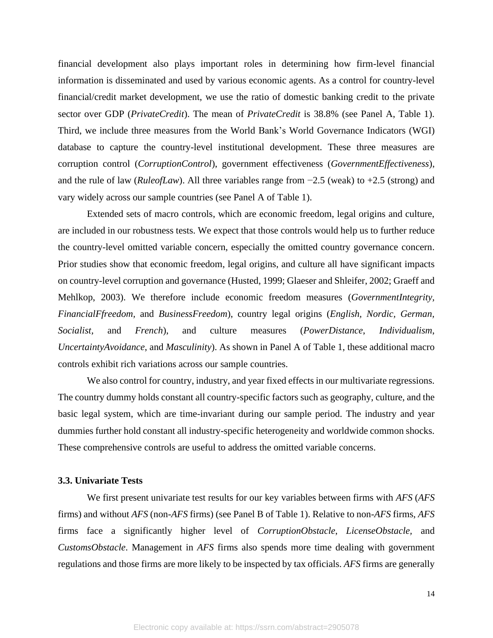financial development also plays important roles in determining how firm-level financial information is disseminated and used by various economic agents. As a control for country-level financial/credit market development, we use the ratio of domestic banking credit to the private sector over GDP (*PrivateCredit*). The mean of *PrivateCredit* is 38.8% (see Panel A, Table 1). Third, we include three measures from the World Bank's World Governance Indicators (WGI) database to capture the country-level institutional development. These three measures are corruption control (*CorruptionControl*), government effectiveness (*GovernmentEffectiveness*), and the rule of law (*RuleofLaw*). All three variables range from −2.5 (weak) to +2.5 (strong) and vary widely across our sample countries (see Panel A of Table 1).

Extended sets of macro controls, which are economic freedom, legal origins and culture, are included in our robustness tests. We expect that those controls would help us to further reduce the country-level omitted variable concern, especially the omitted country governance concern. Prior studies show that economic freedom, legal origins, and culture all have significant impacts on country-level corruption and governance (Husted, 1999; Glaeser and Shleifer, 2002; Graeff and Mehlkop, 2003). We therefore include economic freedom measures (*GovernmentIntegrity, FinancialFfreedom,* and *BusinessFreedom*), country legal origins (*English, Nordic, German, Socialist,* and *French*), and culture measures (*PowerDistance*, *Individualism*, *UncertaintyAvoidance*, and *Masculinity*). As shown in Panel A of Table 1, these additional macro controls exhibit rich variations across our sample countries.

We also control for country, industry, and year fixed effects in our multivariate regressions. The country dummy holds constant all country-specific factors such as geography, culture, and the basic legal system, which are time-invariant during our sample period. The industry and year dummies further hold constant all industry-specific heterogeneity and worldwide common shocks. These comprehensive controls are useful to address the omitted variable concerns.

#### **3.3. Univariate Tests**

We first present univariate test results for our key variables between firms with *AFS* (*AFS* firms) and without *AFS* (non-*AFS* firms) (see Panel B of Table 1). Relative to non-*AFS* firms, *AFS* firms face a significantly higher level of *CorruptionObstacle*, *LicenseObstacle,* and *CustomsObstacle*. Management in *AFS* firms also spends more time dealing with government regulations and those firms are more likely to be inspected by tax officials. *AFS* firms are generally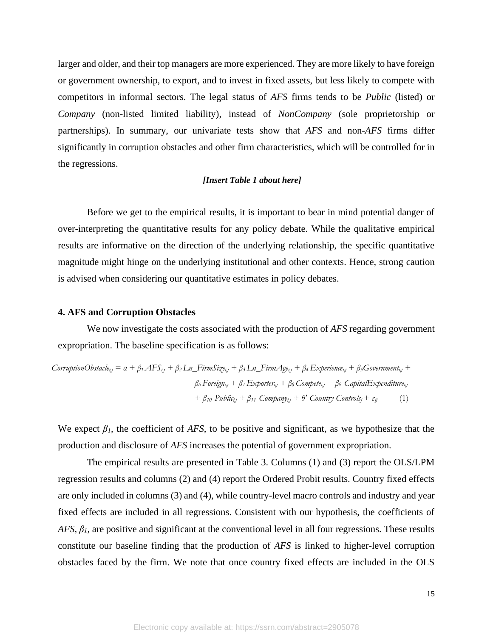larger and older, and their top managers are more experienced. They are more likely to have foreign or government ownership, to export, and to invest in fixed assets, but less likely to compete with competitors in informal sectors. The legal status of *AFS* firms tends to be *Public* (listed) or *Company* (non-listed limited liability), instead of *NonCompany* (sole proprietorship or partnerships). In summary, our univariate tests show that *AFS* and non-*AFS* firms differ significantly in corruption obstacles and other firm characteristics, which will be controlled for in the regressions.

#### *[Insert Table 1 about here]*

Before we get to the empirical results, it is important to bear in mind potential danger of over-interpreting the quantitative results for any policy debate. While the qualitative empirical results are informative on the direction of the underlying relationship, the specific quantitative magnitude might hinge on the underlying institutional and other contexts. Hence, strong caution is advised when considering our quantitative estimates in policy debates.

#### **4. AFS and Corruption Obstacles**

We now investigate the costs associated with the production of *AFS* regarding government expropriation. The baseline specification is as follows:

CorruptionObstacle<sub>ij</sub> = 
$$
a + \beta_1 AFS_{ij} + \beta_2 Ln_FirmSize_{ij} + \beta_3 Ln_FirmAge_{ij} + \beta_4 Experience_{ij} + \beta_5 Government_{ij} + \beta_6 Foreign_{ij} + \beta_7 Exporter_{ij} + \beta_8 Compete_{ij} + \beta_9 CaptalExpenditure_{ij} + \beta_{10 Pubble_{ij} + \beta_{11} Company_{ij} + \theta' Country Controls_j + \varepsilon_{ij}
$$
 (1)

We expect  $\beta_l$ , the coefficient of *AFS*, to be positive and significant, as we hypothesize that the production and disclosure of *AFS* increases the potential of government expropriation.

The empirical results are presented in Table 3. Columns (1) and (3) report the OLS/LPM regression results and columns (2) and (4) report the Ordered Probit results. Country fixed effects are only included in columns (3) and (4), while country-level macro controls and industry and year fixed effects are included in all regressions. Consistent with our hypothesis, the coefficients of *AFS*, *β1*, are positive and significant at the conventional level in all four regressions. These results constitute our baseline finding that the production of *AFS* is linked to higher-level corruption obstacles faced by the firm. We note that once country fixed effects are included in the OLS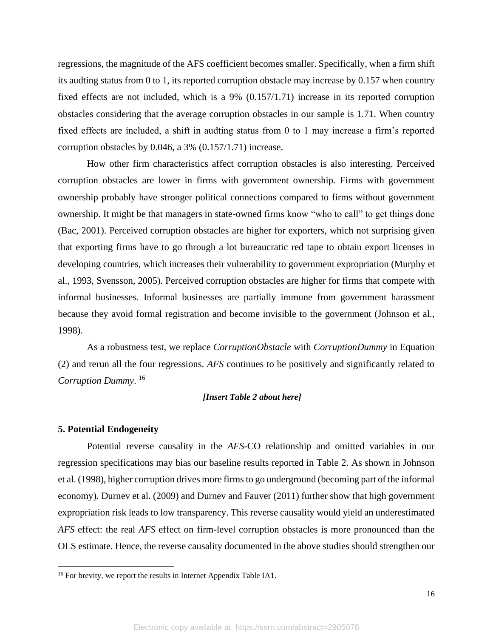regressions, the magnitude of the AFS coefficient becomes smaller. Specifically, when a firm shift its audting status from 0 to 1, its reported corruption obstacle may increase by 0.157 when country fixed effects are not included, which is a 9% (0.157/1.71) increase in its reported corruption obstacles considering that the average corruption obstacles in our sample is 1.71. When country fixed effects are included, a shift in audting status from 0 to 1 may increase a firm's reported corruption obstacles by 0.046, a 3% (0.157/1.71) increase.

How other firm characteristics affect corruption obstacles is also interesting. Perceived corruption obstacles are lower in firms with government ownership. Firms with government ownership probably have stronger political connections compared to firms without government ownership. It might be that managers in state-owned firms know "who to call" to get things done (Bac, 2001). Perceived corruption obstacles are higher for exporters, which not surprising given that exporting firms have to go through a lot bureaucratic red tape to obtain export licenses in developing countries, which increases their vulnerability to government expropriation (Murphy et al., 1993, Svensson, 2005). Perceived corruption obstacles are higher for firms that compete with informal businesses. Informal businesses are partially immune from government harassment because they avoid formal registration and become invisible to the government (Johnson et al., 1998).

As a robustness test, we replace *CorruptionObstacle* with *CorruptionDummy* in Equation (2) and rerun all the four regressions. *AFS* continues to be positively and significantly related to *Corruption Dummy*. 16

#### *[Insert Table 2 about here]*

#### **5. Potential Endogeneity**

Potential reverse causality in the *AFS*-CO relationship and omitted variables in our regression specifications may bias our baseline results reported in Table 2. As shown in Johnson et al. (1998), higher corruption drives more firms to go underground (becoming part of the informal economy). Durnev et al. (2009) and Durnev and Fauver (2011) further show that high government expropriation risk leads to low transparency. This reverse causality would yield an underestimated *AFS* effect: the real *AFS* effect on firm-level corruption obstacles is more pronounced than the OLS estimate. Hence, the reverse causality documented in the above studies should strengthen our

<sup>&</sup>lt;sup>16</sup> For brevity, we report the results in Internet Appendix Table IA1.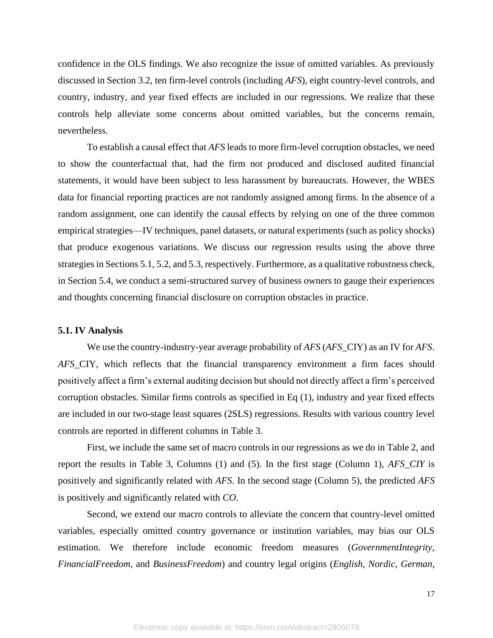confidence in the OLS findings. We also recognize the issue of omitted variables. As previously discussed in Section 3.2, ten firm-level controls (including *AFS*), eight country-level controls, and country, industry, and year fixed effects are included in our regressions. We realize that these controls help alleviate some concerns about omitted variables, but the concerns remain, nevertheless.

To establish a causal effect that *AFS* leads to more firm-level corruption obstacles, we need to show the counterfactual that, had the firm not produced and disclosed audited financial statements, it would have been subject to less harassment by bureaucrats. However, the WBES data for financial reporting practices are not randomly assigned among firms. In the absence of a random assignment, one can identify the causal effects by relying on one of the three common empirical strategies—IV techniques, panel datasets, or natural experiments (such as policy shocks) that produce exogenous variations. We discuss our regression results using the above three strategies in Sections 5.1, 5.2, and 5.3, respectively. Furthermore, as a qualitative robustness check, in Section 5.4, we conduct a semi-structured survey of business owners to gauge their experiences and thoughts concerning financial disclosure on corruption obstacles in practice.

#### **5.1. IV Analysis**

We use the country-industry-year average probability of *AFS* (*AFS*\_CIY) as an IV for *AFS*. *AFS*\_CIY, which reflects that the financial transparency environment a firm faces should positively affect a firm's external auditing decision but should not directly affect a firm's perceived corruption obstacles. Similar firms controls as specified in Eq (1), industry and year fixed effects are included in our two-stage least squares (2SLS) regressions. Results with various country level controls are reported in different columns in Table 3.

First, we include the same set of macro controls in our regressions as we do in Table 2, and report the results in Table 3, Columns (1) and (5). In the first stage (Column 1), *AFS\_CIY* is positively and significantly related with *AFS*. In the second stage (Column 5), the predicted *AFS* is positively and significantly related with *CO*.

Second, we extend our macro controls to alleviate the concern that country-level omitted variables, especially omitted country governance or institution variables, may bias our OLS estimation. We therefore include economic freedom measures (*GovernmentIntegrity, FinancialFreedom,* and *BusinessFreedom*) and country legal origins (*English, Nordic, German,*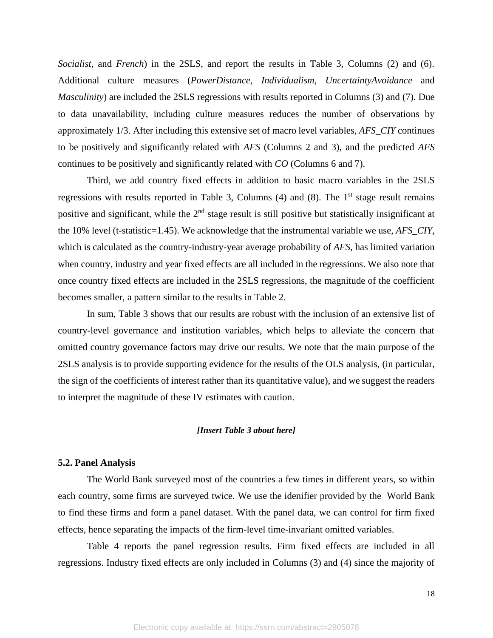*Socialist,* and *French*) in the 2SLS, and report the results in Table 3, Columns (2) and (6). Additional culture measures (*PowerDistance*, *Individualism*, *UncertaintyAvoidance* and *Masculinity*) are included the 2SLS regressions with results reported in Columns (3) and (7). Due to data unavailability, including culture measures reduces the number of observations by approximately 1/3. After including this extensive set of macro level variables, *AFS\_CIY* continues to be positively and significantly related with *AFS* (Columns 2 and 3), and the predicted *AFS* continues to be positively and significantly related with *CO* (Columns 6 and 7).

Third, we add country fixed effects in addition to basic macro variables in the 2SLS regressions with results reported in Table 3, Columns  $(4)$  and  $(8)$ . The 1<sup>st</sup> stage result remains positive and significant, while the  $2<sup>nd</sup>$  stage result is still positive but statistically insignificant at the 10% level (t-statistic=1.45). We acknowledge that the instrumental variable we use, *AFS\_CIY*, which is calculated as the country-industry-year average probability of *AFS*, has limited variation when country, industry and year fixed effects are all included in the regressions. We also note that once country fixed effects are included in the 2SLS regressions, the magnitude of the coefficient becomes smaller, a pattern similar to the results in Table 2.

In sum, Table 3 shows that our results are robust with the inclusion of an extensive list of country-level governance and institution variables, which helps to alleviate the concern that omitted country governance factors may drive our results. We note that the main purpose of the 2SLS analysis is to provide supporting evidence for the results of the OLS analysis, (in particular, the sign of the coefficients of interest rather than its quantitative value), and we suggest the readers to interpret the magnitude of these IV estimates with caution.

#### *[Insert Table 3 about here]*

#### **5.2. Panel Analysis**

The World Bank surveyed most of the countries a few times in different years, so within each country, some firms are surveyed twice. We use the idenifier provided by the World Bank to find these firms and form a panel dataset. With the panel data, we can control for firm fixed effects, hence separating the impacts of the firm-level time-invariant omitted variables.

Table 4 reports the panel regression results. Firm fixed effects are included in all regressions. Industry fixed effects are only included in Columns (3) and (4) since the majority of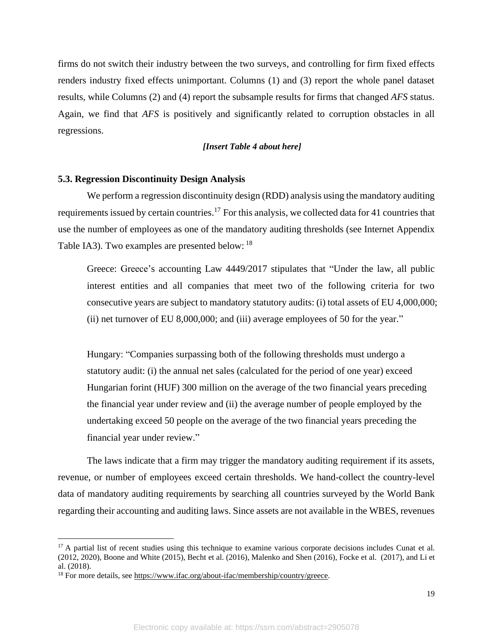firms do not switch their industry between the two surveys, and controlling for firm fixed effects renders industry fixed effects unimportant. Columns (1) and (3) report the whole panel dataset results, while Columns (2) and (4) report the subsample results for firms that changed *AFS* status. Again, we find that *AFS* is positively and significantly related to corruption obstacles in all regressions.

#### *[Insert Table 4 about here]*

#### **5.3. Regression Discontinuity Design Analysis**

We perform a regression discontinuity design (RDD) analysis using the mandatory auditing requirements issued by certain countries.<sup>17</sup> For this analysis, we collected data for 41 countries that use the number of employees as one of the mandatory auditing thresholds (see Internet Appendix Table IA3). Two examples are presented below: <sup>18</sup>

Greece: Greece's accounting Law 4449/2017 stipulates that "Under the law, all public interest entities and all companies that meet two of the following criteria for two consecutive years are subject to mandatory statutory audits: (i) total assets of EU 4,000,000; (ii) net turnover of EU 8,000,000; and (iii) average employees of 50 for the year."

Hungary: "Companies surpassing both of the following thresholds must undergo a statutory audit: (i) the annual net sales (calculated for the period of one year) exceed Hungarian forint (HUF) 300 million on the average of the two financial years preceding the financial year under review and (ii) the average number of people employed by the undertaking exceed 50 people on the average of the two financial years preceding the financial year under review."

The laws indicate that a firm may trigger the mandatory auditing requirement if its assets, revenue, or number of employees exceed certain thresholds. We hand-collect the country-level data of mandatory auditing requirements by searching all countries surveyed by the World Bank regarding their accounting and auditing laws. Since assets are not available in the WBES, revenues

 $17$  A partial list of recent studies using this technique to examine various corporate decisions includes Cunat et al. (2012, 2020), Boone and White (2015), Becht et al. (2016), Malenko and Shen (2016), Focke et al. (2017), and Li et al. (2018).

<sup>18</sup> For more details, see [https://www.ifac.org/about-ifac/membership/country/greece.](https://www.ifac.org/about-ifac/membership/country/greece)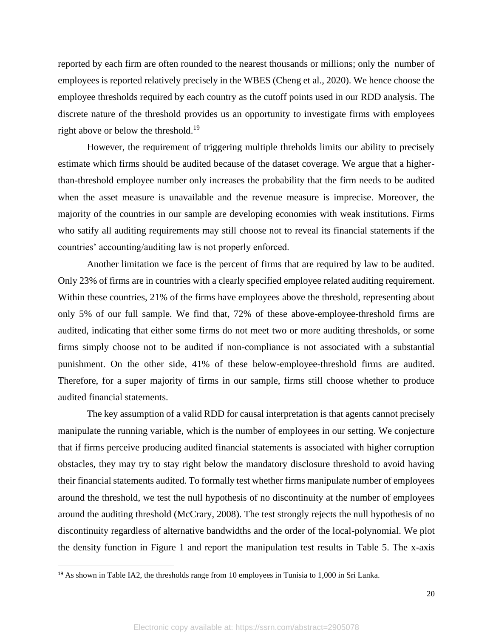reported by each firm are often rounded to the nearest thousands or millions; only the number of employees is reported relatively precisely in the WBES (Cheng et al., 2020). We hence choose the employee thresholds required by each country as the cutoff points used in our RDD analysis. The discrete nature of the threshold provides us an opportunity to investigate firms with employees right above or below the threshold.<sup>19</sup>

However, the requirement of triggering multiple threholds limits our ability to precisely estimate which firms should be audited because of the dataset coverage. We argue that a higherthan-threshold employee number only increases the probability that the firm needs to be audited when the asset measure is unavailable and the revenue measure is imprecise. Moreover, the majority of the countries in our sample are developing economies with weak institutions. Firms who satify all auditing requirements may still choose not to reveal its financial statements if the countries' accounting/auditing law is not properly enforced.

Another limitation we face is the percent of firms that are required by law to be audited. Only 23% of firms are in countries with a clearly specified employee related auditing requirement. Within these countries, 21% of the firms have employees above the threshold, representing about only 5% of our full sample. We find that, 72% of these above-employee-threshold firms are audited, indicating that either some firms do not meet two or more auditing thresholds, or some firms simply choose not to be audited if non-compliance is not associated with a substantial punishment. On the other side, 41% of these below-employee-threshold firms are audited. Therefore, for a super majority of firms in our sample, firms still choose whether to produce audited financial statements.

The key assumption of a valid RDD for causal interpretation is that agents cannot precisely manipulate the running variable, which is the number of employees in our setting. We conjecture that if firms perceive producing audited financial statements is associated with higher corruption obstacles, they may try to stay right below the mandatory disclosure threshold to avoid having their financial statements audited. To formally test whether firms manipulate number of employees around the threshold, we test the null hypothesis of no discontinuity at the number of employees around the auditing threshold (McCrary, 2008). The test strongly rejects the null hypothesis of no discontinuity regardless of alternative bandwidths and the order of the local-polynomial. We plot the density function in Figure 1 and report the manipulation test results in Table 5. The x-axis

<sup>&</sup>lt;sup>19</sup> As shown in Table IA2, the thresholds range from 10 employees in Tunisia to 1,000 in Sri Lanka.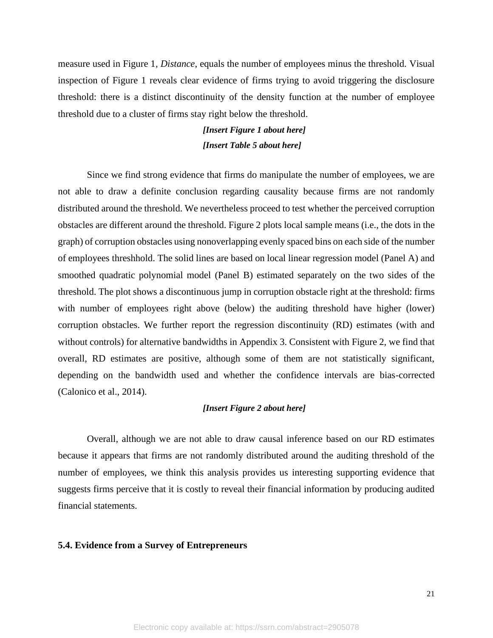measure used in Figure 1, *Distance*, equals the number of employees minus the threshold. Visual inspection of Figure 1 reveals clear evidence of firms trying to avoid triggering the disclosure threshold: there is a distinct discontinuity of the density function at the number of employee threshold due to a cluster of firms stay right below the threshold.

> *[Insert Figure 1 about here] [Insert Table 5 about here]*

Since we find strong evidence that firms do manipulate the number of employees, we are not able to draw a definite conclusion regarding causality because firms are not randomly distributed around the threshold. We nevertheless proceed to test whether the perceived corruption obstacles are different around the threshold. Figure 2 plots local sample means (i.e., the dots in the graph) of corruption obstacles using nonoverlapping evenly spaced bins on each side of the number of employees threshhold. The solid lines are based on local linear regression model (Panel A) and smoothed quadratic polynomial model (Panel B) estimated separately on the two sides of the threshold. The plot shows a discontinuous jump in corruption obstacle right at the threshold: firms with number of employees right above (below) the auditing threshold have higher (lower) corruption obstacles. We further report the regression discontinuity (RD) estimates (with and without controls) for alternative bandwidths in Appendix 3. Consistent with Figure 2, we find that overall, RD estimates are positive, although some of them are not statistically significant, depending on the bandwidth used and whether the confidence intervals are bias-corrected (Calonico et al., 2014).

#### *[Insert Figure 2 about here]*

Overall, although we are not able to draw causal inference based on our RD estimates because it appears that firms are not randomly distributed around the auditing threshold of the number of employees, we think this analysis provides us interesting supporting evidence that suggests firms perceive that it is costly to reveal their financial information by producing audited financial statements.

#### **5.4. Evidence from a Survey of Entrepreneurs**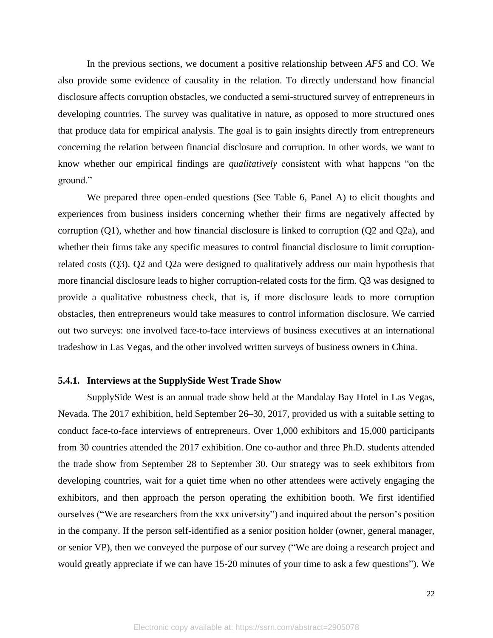In the previous sections, we document a positive relationship between *AFS* and CO. We also provide some evidence of causality in the relation. To directly understand how financial disclosure affects corruption obstacles, we conducted a semi-structured survey of entrepreneurs in developing countries. The survey was qualitative in nature, as opposed to more structured ones that produce data for empirical analysis. The goal is to gain insights directly from entrepreneurs concerning the relation between financial disclosure and corruption. In other words, we want to know whether our empirical findings are *qualitatively* consistent with what happens "on the ground."

We prepared three open-ended questions (See Table 6, Panel A) to elicit thoughts and experiences from business insiders concerning whether their firms are negatively affected by corruption (Q1), whether and how financial disclosure is linked to corruption (Q2 and Q2a), and whether their firms take any specific measures to control financial disclosure to limit corruptionrelated costs (Q3). Q2 and Q2a were designed to qualitatively address our main hypothesis that more financial disclosure leads to higher corruption-related costs for the firm. Q3 was designed to provide a qualitative robustness check, that is, if more disclosure leads to more corruption obstacles, then entrepreneurs would take measures to control information disclosure. We carried out two surveys: one involved face-to-face interviews of business executives at an international tradeshow in Las Vegas, and the other involved written surveys of business owners in China.

#### **5.4.1. Interviews at the SupplySide West Trade Show**

SupplySide West is an annual trade show held at the Mandalay Bay Hotel in Las Vegas, Nevada. The 2017 exhibition, held September 26–30, 2017, provided us with a suitable setting to conduct face-to-face interviews of entrepreneurs. Over 1,000 exhibitors and 15,000 participants from 30 countries attended the 2017 exhibition. One co-author and three Ph.D. students attended the trade show from September 28 to September 30. Our strategy was to seek exhibitors from developing countries, wait for a quiet time when no other attendees were actively engaging the exhibitors, and then approach the person operating the exhibition booth. We first identified ourselves ("We are researchers from the xxx university") and inquired about the person's position in the company. If the person self-identified as a senior position holder (owner, general manager, or senior VP), then we conveyed the purpose of our survey ("We are doing a research project and would greatly appreciate if we can have 15-20 minutes of your time to ask a few questions"). We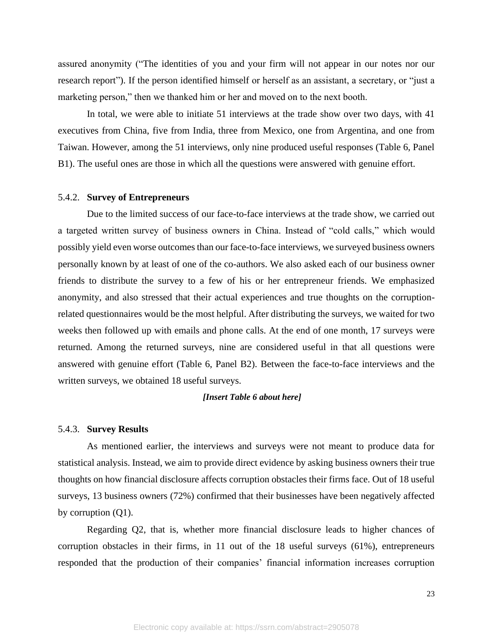assured anonymity ("The identities of you and your firm will not appear in our notes nor our research report"). If the person identified himself or herself as an assistant, a secretary, or "just a marketing person," then we thanked him or her and moved on to the next booth.

In total, we were able to initiate 51 interviews at the trade show over two days, with 41 executives from China, five from India, three from Mexico, one from Argentina, and one from Taiwan. However, among the 51 interviews, only nine produced useful responses (Table 6, Panel B1). The useful ones are those in which all the questions were answered with genuine effort.

#### 5.4.2. **Survey of Entrepreneurs**

Due to the limited success of our face-to-face interviews at the trade show, we carried out a targeted written survey of business owners in China. Instead of "cold calls," which would possibly yield even worse outcomes than our face-to-face interviews, we surveyed business owners personally known by at least of one of the co-authors. We also asked each of our business owner friends to distribute the survey to a few of his or her entrepreneur friends. We emphasized anonymity, and also stressed that their actual experiences and true thoughts on the corruptionrelated questionnaires would be the most helpful. After distributing the surveys, we waited for two weeks then followed up with emails and phone calls. At the end of one month, 17 surveys were returned. Among the returned surveys, nine are considered useful in that all questions were answered with genuine effort (Table 6, Panel B2). Between the face-to-face interviews and the written surveys, we obtained 18 useful surveys.

#### *[Insert Table 6 about here]*

#### 5.4.3. **Survey Results**

As mentioned earlier, the interviews and surveys were not meant to produce data for statistical analysis. Instead, we aim to provide direct evidence by asking business owners their true thoughts on how financial disclosure affects corruption obstacles their firms face. Out of 18 useful surveys, 13 business owners (72%) confirmed that their businesses have been negatively affected by corruption (Q1).

Regarding Q2, that is, whether more financial disclosure leads to higher chances of corruption obstacles in their firms, in 11 out of the 18 useful surveys (61%), entrepreneurs responded that the production of their companies' financial information increases corruption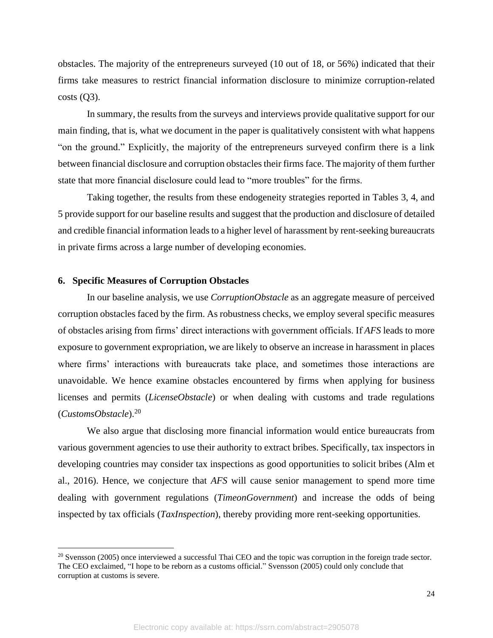obstacles. The majority of the entrepreneurs surveyed (10 out of 18, or 56%) indicated that their firms take measures to restrict financial information disclosure to minimize corruption-related  $costs (O3)$ .

In summary, the results from the surveys and interviews provide qualitative support for our main finding, that is, what we document in the paper is qualitatively consistent with what happens "on the ground." Explicitly, the majority of the entrepreneurs surveyed confirm there is a link between financial disclosure and corruption obstacles their firms face. The majority of them further state that more financial disclosure could lead to "more troubles" for the firms.

Taking together, the results from these endogeneity strategies reported in Tables 3, 4, and 5 provide support for our baseline results and suggest that the production and disclosure of detailed and credible financial information leads to a higher level of harassment by rent-seeking bureaucrats in private firms across a large number of developing economies.

#### **6. Specific Measures of Corruption Obstacles**

In our baseline analysis, we use *CorruptionObstacle* as an aggregate measure of perceived corruption obstacles faced by the firm. As robustness checks, we employ several specific measures of obstacles arising from firms' direct interactions with government officials. If *AFS* leads to more exposure to government expropriation, we are likely to observe an increase in harassment in places where firms' interactions with bureaucrats take place, and sometimes those interactions are unavoidable. We hence examine obstacles encountered by firms when applying for business licenses and permits (*LicenseObstacle*) or when dealing with customs and trade regulations (*CustomsObstacle*).<sup>20</sup>

We also argue that disclosing more financial information would entice bureaucrats from various government agencies to use their authority to extract bribes. Specifically, tax inspectors in developing countries may consider tax inspections as good opportunities to solicit bribes (Alm et al., 2016). Hence, we conjecture that *AFS* will cause senior management to spend more time dealing with government regulations (*TimeonGovernment*) and increase the odds of being inspected by tax officials (*TaxInspection*), thereby providing more rent-seeking opportunities.

<sup>&</sup>lt;sup>20</sup> Svensson (2005) once interviewed a successful Thai CEO and the topic was corruption in the foreign trade sector. The CEO exclaimed, "I hope to be reborn as a customs official." Svensson (2005) could only conclude that corruption at customs is severe.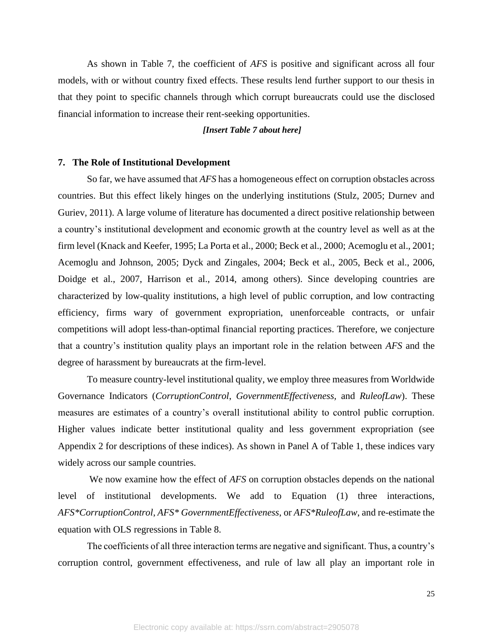As shown in Table 7, the coefficient of *AFS* is positive and significant across all four models, with or without country fixed effects. These results lend further support to our thesis in that they point to specific channels through which corrupt bureaucrats could use the disclosed financial information to increase their rent-seeking opportunities.

#### *[Insert Table 7 about here]*

#### **7. The Role of Institutional Development**

So far, we have assumed that *AFS* has a homogeneous effect on corruption obstacles across countries. But this effect likely hinges on the underlying institutions (Stulz, 2005; Durnev and Guriev, 2011). A large volume of literature has documented a direct positive relationship between a country's institutional development and economic growth at the country level as well as at the firm level (Knack and Keefer, 1995; La Porta et al., 2000; Beck et al., 2000; Acemoglu et al., 2001; Acemoglu and Johnson, 2005; Dyck and Zingales, 2004; Beck et al., 2005, Beck et al., 2006, Doidge et al., 2007, Harrison et al., 2014, among others). Since developing countries are characterized by low-quality institutions, a high level of public corruption, and low contracting efficiency, firms wary of government expropriation, unenforceable contracts, or unfair competitions will adopt less-than-optimal financial reporting practices. Therefore, we conjecture that a country's institution quality plays an important role in the relation between *AFS* and the degree of harassment by bureaucrats at the firm-level.

To measure country-level institutional quality, we employ three measures from Worldwide Governance Indicators (*CorruptionControl*, *GovernmentEffectiveness,* and *RuleofLaw*). These measures are estimates of a country's overall institutional ability to control public corruption. Higher values indicate better institutional quality and less government expropriation (see Appendix 2 for descriptions of these indices). As shown in Panel A of Table 1, these indices vary widely across our sample countries.

We now examine how the effect of *AFS* on corruption obstacles depends on the national level of institutional developments. We add to Equation (1) three interactions, *AFS\*CorruptionControl*, *AFS\* GovernmentEffectiveness*, or *AFS\*RuleofLaw*, and re-estimate the equation with OLS regressions in Table 8.

The coefficients of all three interaction terms are negative and significant. Thus, a country's corruption control, government effectiveness, and rule of law all play an important role in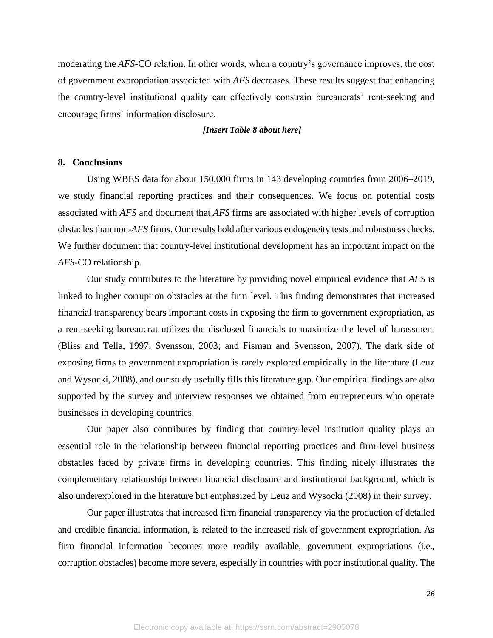moderating the *AFS*-CO relation. In other words, when a country's governance improves, the cost of government expropriation associated with *AFS* decreases. These results suggest that enhancing the country-level institutional quality can effectively constrain bureaucrats' rent-seeking and encourage firms' information disclosure.

#### *[Insert Table 8 about here]*

#### **8. Conclusions**

Using WBES data for about 150,000 firms in 143 developing countries from 2006–2019, we study financial reporting practices and their consequences. We focus on potential costs associated with *AFS* and document that *AFS* firms are associated with higher levels of corruption obstacles than non-*AFS* firms. Our results hold after various endogeneity tests and robustness checks. We further document that country-level institutional development has an important impact on the *AFS*-CO relationship.

Our study contributes to the literature by providing novel empirical evidence that *AFS* is linked to higher corruption obstacles at the firm level. This finding demonstrates that increased financial transparency bears important costs in exposing the firm to government expropriation, as a rent-seeking bureaucrat utilizes the disclosed financials to maximize the level of harassment (Bliss and Tella, 1997; Svensson, 2003; and Fisman and Svensson, 2007). The dark side of exposing firms to government expropriation is rarely explored empirically in the literature (Leuz and Wysocki, 2008), and our study usefully fills this literature gap. Our empirical findings are also supported by the survey and interview responses we obtained from entrepreneurs who operate businesses in developing countries.

Our paper also contributes by finding that country-level institution quality plays an essential role in the relationship between financial reporting practices and firm-level business obstacles faced by private firms in developing countries. This finding nicely illustrates the complementary relationship between financial disclosure and institutional background, which is also underexplored in the literature but emphasized by Leuz and Wysocki (2008) in their survey.

Our paper illustrates that increased firm financial transparency via the production of detailed and credible financial information, is related to the increased risk of government expropriation. As firm financial information becomes more readily available, government expropriations (i.e., corruption obstacles) become more severe, especially in countries with poor institutional quality. The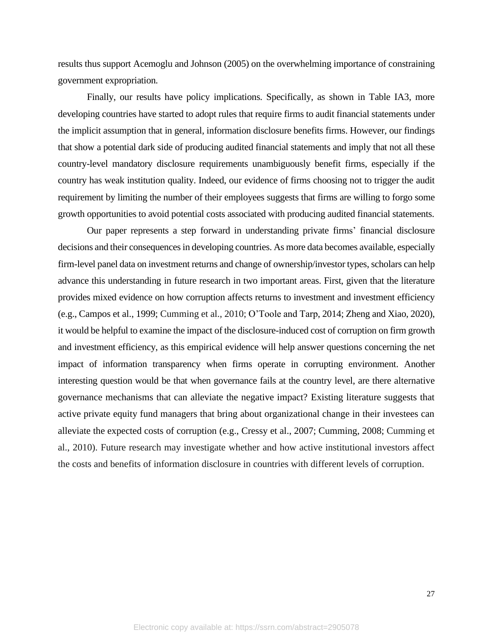results thus support Acemoglu and Johnson (2005) on the overwhelming importance of constraining government expropriation.

Finally, our results have policy implications. Specifically, as shown in Table IA3, more developing countries have started to adopt rules that require firms to audit financial statements under the implicit assumption that in general, information disclosure benefits firms. However, our findings that show a potential dark side of producing audited financial statements and imply that not all these country-level mandatory disclosure requirements unambiguously benefit firms, especially if the country has weak institution quality. Indeed, our evidence of firms choosing not to trigger the audit requirement by limiting the number of their employees suggests that firms are willing to forgo some growth opportunities to avoid potential costs associated with producing audited financial statements.

Our paper represents a step forward in understanding private firms' financial disclosure decisions and their consequences in developing countries. As more data becomes available, especially firm-level panel data on investment returns and change of ownership/investor types, scholars can help advance this understanding in future research in two important areas. First, given that the literature provides mixed evidence on how corruption affects returns to investment and investment efficiency (e.g., Campos et al., 1999; Cumming et al., 2010; O'Toole and Tarp, 2014; Zheng and Xiao, 2020), it would be helpful to examine the impact of the disclosure-induced cost of corruption on firm growth and investment efficiency, as this empirical evidence will help answer questions concerning the net impact of information transparency when firms operate in corrupting environment. Another interesting question would be that when governance fails at the country level, are there alternative governance mechanisms that can alleviate the negative impact? Existing literature suggests that active private equity fund managers that bring about organizational change in their investees can alleviate the expected costs of corruption (e.g., Cressy et al., 2007; Cumming, 2008; Cumming et al., 2010). Future research may investigate whether and how active institutional investors affect the costs and benefits of information disclosure in countries with different levels of corruption.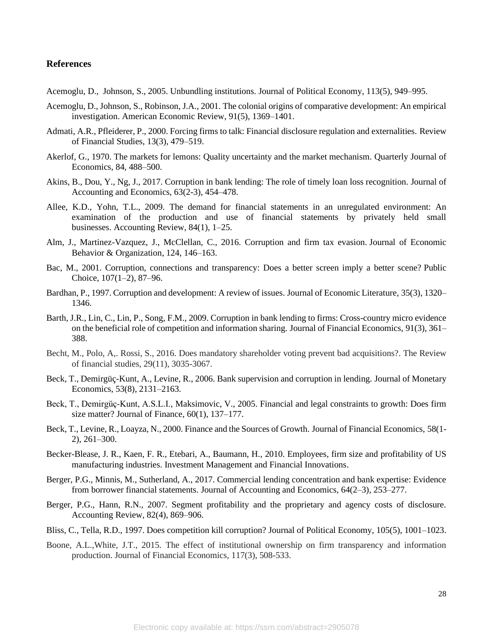#### **References**

Acemoglu, D., Johnson, S., 2005. Unbundling institutions. Journal of Political Economy, 113(5), 949–995.

- Acemoglu, D., Johnson, S., Robinson, J.A., 2001. The colonial origins of comparative development: An empirical investigation. American Economic Review, 91(5), 1369–1401.
- Admati, A.R., Pfleiderer, P., 2000. Forcing firms to talk: Financial disclosure regulation and externalities. Review of Financial Studies, 13(3), 479–519.
- Akerlof, G., 1970. The markets for lemons: Quality uncertainty and the market mechanism. Quarterly Journal of Economics, 84, 488–500.
- Akins, B., Dou, Y., Ng, J., 2017. Corruption in bank lending: The role of timely loan loss recognition. Journal of Accounting and Economics, 63(2-3), 454–478.
- Allee, K.D., Yohn, T.L., 2009. The demand for financial statements in an unregulated environment: An examination of the production and use of financial statements by privately held small businesses. Accounting Review, 84(1), 1–25.
- Alm, J., Martinez-Vazquez, J., McClellan, C., 2016. Corruption and firm tax evasion. Journal of Economic Behavior & Organization, 124, 146–163.
- Bac, M., 2001. Corruption, connections and transparency: Does a better screen imply a better scene? Public Choice, 107(1–2), 87–96.
- Bardhan, P., 1997. Corruption and development: A review of issues. Journal of Economic Literature, 35(3), 1320– 1346.
- Barth, J.R., Lin, C., Lin, P., Song, F.M., 2009. Corruption in bank lending to firms: Cross-country micro evidence on the beneficial role of competition and information sharing. Journal of Financial Economics, 91(3), 361– 388.
- Becht, M., Polo, A,. Rossi, S., 2016. Does mandatory shareholder voting prevent bad acquisitions?. The Review of financial studies, 29(11), 3035-3067.
- Beck, T., Demirgüç-Kunt, A., Levine, R., 2006. Bank supervision and corruption in lending. Journal of Monetary Economics, 53(8), 2131–2163.
- Beck, T., Demirgüç‐Kunt, A.S.L.I., Maksimovic, V., 2005. Financial and legal constraints to growth: Does firm size matter? Journal of Finance, 60(1), 137–177.
- Beck, T., Levine, R., Loayza, N., 2000. Finance and the Sources of Growth. Journal of Financial Economics, 58(1- 2), 261–300.
- Becker-Blease, J. R., Kaen, F. R., Etebari, A., Baumann, H., 2010. Employees, firm size and profitability of US manufacturing industries. Investment Management and Financial Innovations.
- Berger, P.G., Minnis, M., Sutherland, A., 2017. Commercial lending concentration and bank expertise: Evidence from borrower financial statements. Journal of Accounting and Economics, 64(2–3), 253–277.
- Berger, P.G., Hann, R.N., 2007. Segment profitability and the proprietary and agency costs of disclosure. Accounting Review, 82(4), 869–906.
- Bliss, C., Tella, R.D., 1997. Does competition kill corruption? Journal of Political Economy, 105(5), 1001–1023.
- Boone, A.L.,White, J.T., 2015. The effect of institutional ownership on firm transparency and information production. Journal of Financial Economics, 117(3), 508-533.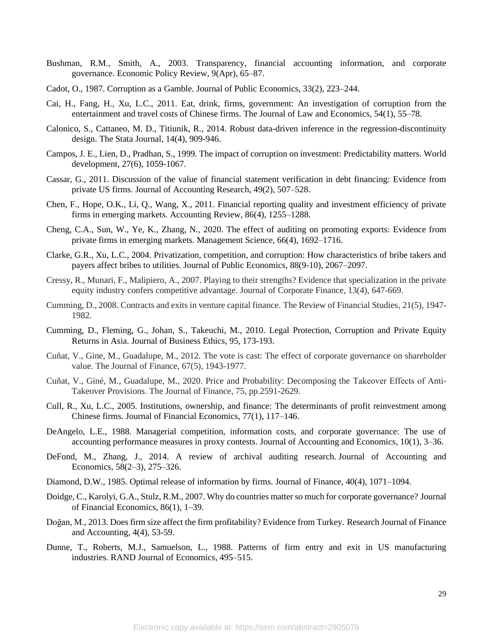- Bushman, R.M., Smith, A., 2003. Transparency, financial accounting information, and corporate governance. Economic Policy Review, 9(Apr), 65–87.
- Cadot, O., 1987. Corruption as a Gamble. Journal of Public Economics, 33(2), 223–244.
- Cai, H., Fang, H., Xu, L.C., 2011. Eat, drink, firms, government: An investigation of corruption from the entertainment and travel costs of Chinese firms. The Journal of Law and Economics, 54(1), 55–78.
- Calonico, S., Cattaneo, M. D., Titiunik, R., 2014. Robust data-driven inference in the regression-discontinuity design. The Stata Journal, 14(4), 909-946.
- Campos, J. E., Lien, D., Pradhan, S., 1999. The impact of corruption on investment: Predictability matters. World development, 27(6), 1059-1067.
- Cassar, G., 2011. Discussion of the value of financial statement verification in debt financing: Evidence from private US firms. Journal of Accounting Research, 49(2), 507–528.
- Chen, F., Hope, O.K., Li, Q., Wang, X., 2011. Financial reporting quality and investment efficiency of private firms in emerging markets. Accounting Review, 86(4), 1255–1288.
- Cheng, C.A., Sun, W., Ye, K., Zhang, N., 2020. The effect of auditing on promoting exports: Evidence from private firms in emerging markets. Management Science, 66(4), 1692–1716.
- Clarke, G.R., Xu, L.C., 2004. Privatization, competition, and corruption: How characteristics of bribe takers and payers affect bribes to utilities. Journal of Public Economics, 88(9-10), 2067–2097.
- Cressy, R., Munari, F., Malipiero, A., 2007. Playing to their strengths? Evidence that specialization in the private equity industry confers competitive advantage. Journal of Corporate Finance, 13(4), 647-669.
- Cumming, D., 2008. Contracts and exits in venture capital finance. The Review of Financial Studies, 21(5), 1947- 1982.
- Cumming, D., Fleming, G., Johan, S., Takeuchi, M., 2010. Legal Protection, Corruption and Private Equity Returns in Asia. Journal of Business Ethics, 95, 173-193.
- Cuñat, V., Gine, M., Guadalupe, M., 2012. The vote is cast: The effect of corporate governance on shareholder value. The Journal of Finance, 67(5), 1943-1977.
- Cuñat, V., Giné, M., Guadalupe, M., 2020. Price and Probability: Decomposing the Takeover Effects of Anti‐ Takeover Provisions. The Journal of Finance, 75, pp.2591-2629.
- Cull, R., Xu, L.C., 2005. Institutions, ownership, and finance: The determinants of profit reinvestment among Chinese firms. Journal of Financial Economics, 77(1), 117–146.
- DeAngelo, L.E., 1988. Managerial competition, information costs, and corporate governance: The use of accounting performance measures in proxy contests. Journal of Accounting and Economics, 10(1), 3–36.
- DeFond, M., Zhang, J., 2014. A review of archival auditing research. Journal of Accounting and Economics, 58(2–3), 275–326.
- Diamond, D.W., 1985. Optimal release of information by firms. Journal of Finance, 40(4), 1071–1094.
- Doidge, C., Karolyi, G.A., Stulz, R.M., 2007. Why do countries matter so much for corporate governance? Journal of Financial Economics, 86(1), 1–39.
- Doğan, M., 2013. Does firm size affect the firm profitability? Evidence from Turkey. Research Journal of Finance and Accounting, 4(4), 53-59.
- Dunne, T., Roberts, M.J., Samuelson, L., 1988. Patterns of firm entry and exit in US manufacturing industries. RAND Journal of Economics, 495–515.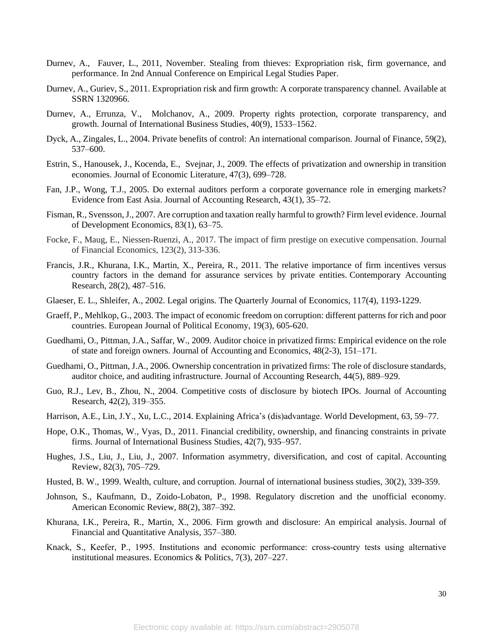- Durnev, A., Fauver, L., 2011, November. Stealing from thieves: Expropriation risk, firm governance, and performance. In 2nd Annual Conference on Empirical Legal Studies Paper.
- Durnev, A., Guriev, S., 2011. Expropriation risk and firm growth: A corporate transparency channel. Available at SSRN 1320966.
- Durnev, A., Errunza, V., Molchanov, A., 2009. Property rights protection, corporate transparency, and growth. Journal of International Business Studies, 40(9), 1533–1562.
- Dyck, A., Zingales, L., 2004. Private benefits of control: An international comparison. Journal of Finance, 59(2), 537–600.
- Estrin, S., Hanousek, J., Kocenda, E., Svejnar, J., 2009. The effects of privatization and ownership in transition economies. Journal of Economic Literature, 47(3), 699–728.
- Fan, J.P., Wong, T.J., 2005. Do external auditors perform a corporate governance role in emerging markets? Evidence from East Asia. Journal of Accounting Research, 43(1), 35–72.
- Fisman, R., Svensson, J., 2007. Are corruption and taxation really harmful to growth? Firm level evidence. Journal of Development Economics, 83(1), 63–75.
- Focke, F., Maug, E., Niessen-Ruenzi, A., 2017. The impact of firm prestige on executive compensation. Journal of Financial Economics, 123(2), 313-336.
- Francis, J.R., Khurana, I.K., Martin, X., Pereira, R., 2011. The relative importance of firm incentives versus country factors in the demand for assurance services by private entities. Contemporary Accounting Research, 28(2), 487–516.
- Glaeser, E. L., Shleifer, A., 2002. Legal origins. The Quarterly Journal of Economics, 117(4), 1193-1229.
- Graeff, P., Mehlkop, G., 2003. The impact of economic freedom on corruption: different patterns for rich and poor countries. European Journal of Political Economy, 19(3), 605-620.
- Guedhami, O., Pittman, J.A., Saffar, W., 2009. Auditor choice in privatized firms: Empirical evidence on the role of state and foreign owners. Journal of Accounting and Economics, 48(2-3), 151–171.
- Guedhami, O., Pittman, J.A., 2006. Ownership concentration in privatized firms: The role of disclosure standards, auditor choice, and auditing infrastructure. Journal of Accounting Research, 44(5), 889–929.
- Guo, R.J., Lev, B., Zhou, N., 2004. Competitive costs of disclosure by biotech IPOs. Journal of Accounting Research, 42(2), 319–355.
- Harrison, A.E., Lin, J.Y., Xu, L.C., 2014. Explaining Africa's (dis)advantage. World Development, 63, 59–77.
- Hope, O.K., Thomas, W., Vyas, D., 2011. Financial credibility, ownership, and financing constraints in private firms. Journal of International Business Studies, 42(7), 935–957.
- Hughes, J.S., Liu, J., Liu, J., 2007. Information asymmetry, diversification, and cost of capital. Accounting Review, 82(3), 705–729.
- Husted, B. W., 1999. Wealth, culture, and corruption. Journal of international business studies, 30(2), 339-359.
- Johnson, S., Kaufmann, D., Zoido-Lobaton, P., 1998. Regulatory discretion and the unofficial economy. American Economic Review, 88(2), 387–392.
- Khurana, I.K., Pereira, R., Martin, X., 2006. Firm growth and disclosure: An empirical analysis. Journal of Financial and Quantitative Analysis, 357–380.
- Knack, S., Keefer, P., 1995. Institutions and economic performance: cross-country tests using alternative institutional measures. Economics & Politics, 7(3), 207–227.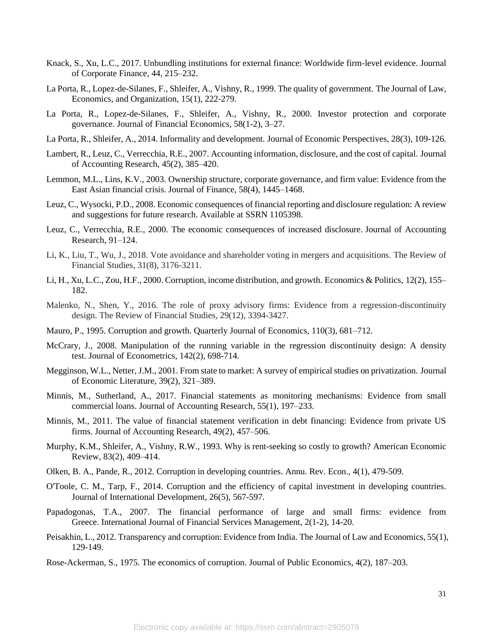- Knack, S., Xu, L.C., 2017. Unbundling institutions for external finance: Worldwide firm-level evidence. Journal of Corporate Finance, 44, 215–232.
- La Porta, R., Lopez-de-Silanes, F., Shleifer, A., Vishny, R., 1999. The quality of government. The Journal of Law, Economics, and Organization, 15(1), 222-279.
- La Porta, R., Lopez-de-Silanes, F., Shleifer, A., Vishny, R., 2000. Investor protection and corporate governance. Journal of Financial Economics, 58(1-2), 3–27.
- La Porta, R., Shleifer, A., 2014. Informality and development. Journal of Economic Perspectives, 28(3), 109-126.
- Lambert, R., Leuz, C., Verrecchia, R.E., 2007. Accounting information, disclosure, and the cost of capital. Journal of Accounting Research, 45(2), 385–420.
- Lemmon, M.L., Lins, K.V., 2003. Ownership structure, corporate governance, and firm value: Evidence from the East Asian financial crisis. Journal of Finance, 58(4), 1445–1468.
- Leuz, C., Wysocki, P.D., 2008. Economic consequences of financial reporting and disclosure regulation: A review and suggestions for future research. Available at SSRN 1105398.
- Leuz, C., Verrecchia, R.E., 2000. The economic consequences of increased disclosure. Journal of Accounting Research, 91–124.
- Li, K., Liu, T., Wu, J., 2018. Vote avoidance and shareholder voting in mergers and acquisitions. The Review of Financial Studies, 31(8), 3176-3211.
- Li, H., Xu, L.C., Zou, H.F., 2000. Corruption, income distribution, and growth. Economics & Politics, 12(2), 155– 182.
- Malenko, N., Shen, Y., 2016. The role of proxy advisory firms: Evidence from a regression-discontinuity design. The Review of Financial Studies, 29(12), 3394-3427.
- Mauro, P., 1995. Corruption and growth. Quarterly Journal of Economics, 110(3), 681–712.
- McCrary, J., 2008. Manipulation of the running variable in the regression discontinuity design: A density test. Journal of Econometrics, 142(2), 698-714.
- Megginson, W.L., Netter, J.M., 2001. From state to market: A survey of empirical studies on privatization. Journal of Economic Literature, 39(2), 321–389.
- Minnis, M., Sutherland, A., 2017. Financial statements as monitoring mechanisms: Evidence from small commercial loans. Journal of Accounting Research, 55(1), 197–233.
- Minnis, M., 2011. The value of financial statement verification in debt financing: Evidence from private US firms. Journal of Accounting Research, 49(2), 457–506.
- Murphy, K.M., Shleifer, A., Vishny, R.W., 1993. Why is rent-seeking so costly to growth? American Economic Review, 83(2), 409–414.
- Olken, B. A., Pande, R., 2012. Corruption in developing countries. Annu. Rev. Econ., 4(1), 479-509.
- O'Toole, C. M., Tarp, F., 2014. Corruption and the efficiency of capital investment in developing countries. Journal of International Development, 26(5), 567-597.
- Papadogonas, T.A., 2007. The financial performance of large and small firms: evidence from Greece. International Journal of Financial Services Management, 2(1-2), 14-20.
- Peisakhin, L., 2012. Transparency and corruption: Evidence from India. The Journal of Law and Economics, 55(1), 129-149.
- Rose-Ackerman, S., 1975. The economics of corruption. Journal of Public Economics, 4(2), 187–203.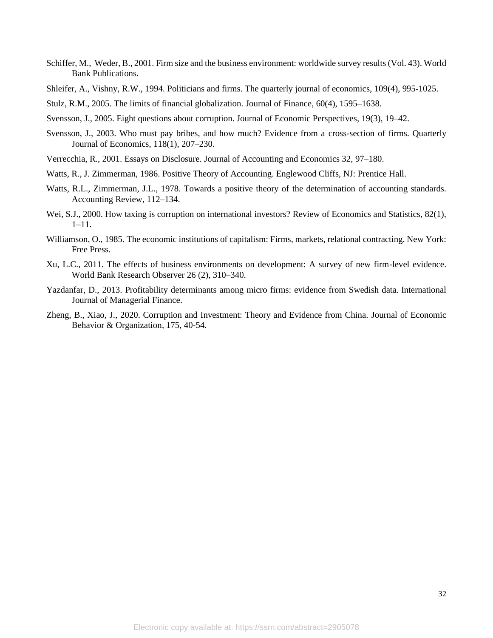- Schiffer, M., Weder, B., 2001. Firm size and the business environment: worldwide survey results (Vol. 43). World Bank Publications.
- Shleifer, A., Vishny, R.W., 1994. Politicians and firms. The quarterly journal of economics, 109(4), 995-1025.
- Stulz, R.M., 2005. The limits of financial globalization. Journal of Finance, 60(4), 1595–1638.
- Svensson, J., 2005. Eight questions about corruption. Journal of Economic Perspectives, 19(3), 19–42.
- Svensson, J., 2003. Who must pay bribes, and how much? Evidence from a cross-section of firms. Quarterly Journal of Economics, 118(1), 207–230.
- Verrecchia, R., 2001. Essays on Disclosure. Journal of Accounting and Economics 32, 97–180.
- Watts, R., J. Zimmerman, 1986. Positive Theory of Accounting. Englewood Cliffs, NJ: Prentice Hall.
- Watts, R.L., Zimmerman, J.L., 1978. Towards a positive theory of the determination of accounting standards. Accounting Review, 112–134.
- Wei, S.J., 2000. How taxing is corruption on international investors? Review of Economics and Statistics, 82(1), 1–11.
- Williamson, O., 1985. The economic institutions of capitalism: Firms, markets, relational contracting. New York: Free Press.
- Xu, L.C., 2011. The effects of business environments on development: A survey of new firm-level evidence. World Bank Research Observer 26 (2), 310–340.
- Yazdanfar, D., 2013. Profitability determinants among micro firms: evidence from Swedish data. International Journal of Managerial Finance.
- Zheng, B., Xiao, J., 2020. Corruption and Investment: Theory and Evidence from China. Journal of Economic Behavior & Organization, 175, 40-54.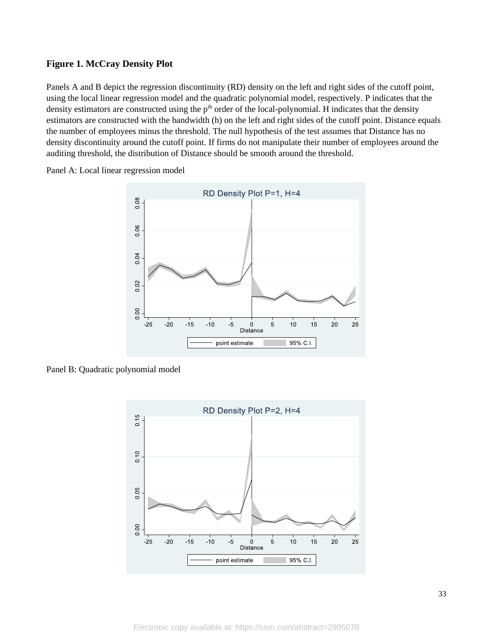#### **Figure 1. McCray Density Plot**

Panels A and B depict the regression discontinuity (RD) density on the left and right sides of the cutoff point, using the local linear regression model and the quadratic polynomial model, respectively. P indicates that the density estimators are constructed using the  $p<sup>th</sup>$  order of the local-polynomial. H indicates that the density estimators are constructed with the bandwidth (h) on the left and right sides of the cutoff point. Distance equals the number of employees minus the threshold. The null hypothesis of the test assumes that Distance has no density discontinuity around the cutoff point. If firms do not manipulate their number of employees around the auditing threshold, the distribution of Distance should be smooth around the threshold.

Panel A: Local linear regression model



Panel B: Quadratic polynomial model

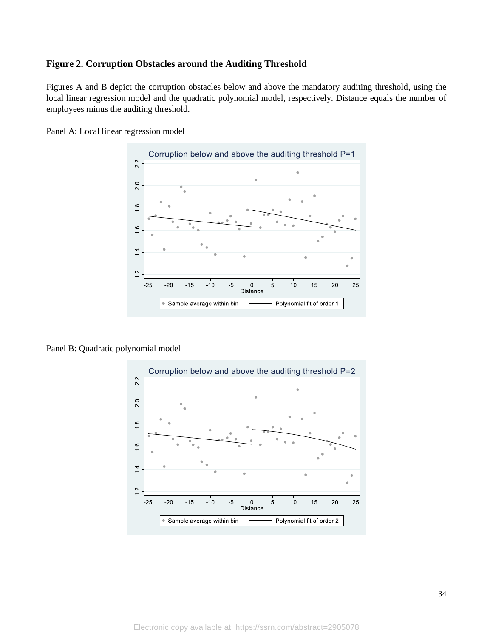#### **Figure 2. Corruption Obstacles around the Auditing Threshold**

Figures A and B depict the corruption obstacles below and above the mandatory auditing threshold, using the local linear regression model and the quadratic polynomial model, respectively. Distance equals the number of employees minus the auditing threshold.

Panel A: Local linear regression model



Panel B: Quadratic polynomial model

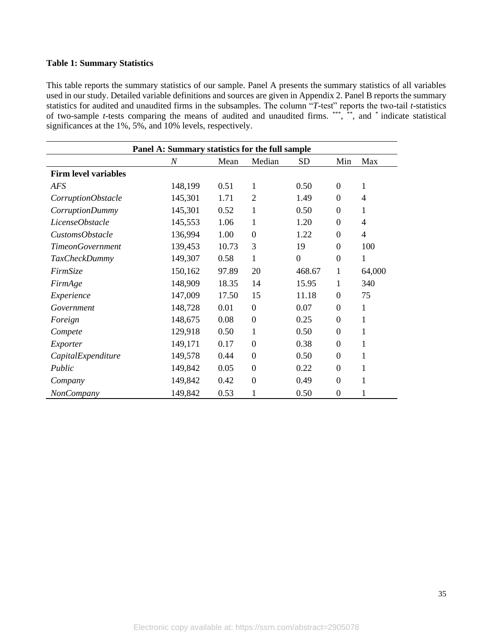#### **Table 1: Summary Statistics**

This table reports the summary statistics of our sample. Panel A presents the summary statistics of all variables used in our study. Detailed variable definitions and sources are given in Appendix 2. Panel B reports the summary statistics for audited and unaudited firms in the subsamples. The column "*T*-test" reports the two-tail *t*-statistics of two-sample *t*-tests comparing the means of audited and unaudited firms. \*\*\*, \*\*, and \* indicate statistical significances at the 1%, 5%, and 10% levels, respectively.

| Panel A: Summary statistics for the full sample |                  |       |                  |                |                  |                |  |  |  |  |
|-------------------------------------------------|------------------|-------|------------------|----------------|------------------|----------------|--|--|--|--|
|                                                 | $\boldsymbol{N}$ | Mean  | Median           | <b>SD</b>      | Min              | Max            |  |  |  |  |
| <b>Firm level variables</b>                     |                  |       |                  |                |                  |                |  |  |  |  |
| <b>AFS</b>                                      | 148,199          | 0.51  | 1                | 0.50           | $\boldsymbol{0}$ | 1              |  |  |  |  |
| CorruptionObstacle                              | 145,301          | 1.71  | $\overline{2}$   | 1.49           | $\overline{0}$   | $\overline{4}$ |  |  |  |  |
| CorruptionDummy                                 | 145,301          | 0.52  | 1                | 0.50           | $\boldsymbol{0}$ | 1              |  |  |  |  |
| LicenseObstacle                                 | 145,553          | 1.06  | 1                | 1.20           | $\theta$         | $\overline{4}$ |  |  |  |  |
| CustomsObstacle                                 | 136,994          | 1.00  | $\boldsymbol{0}$ | 1.22           | $\theta$         | $\overline{4}$ |  |  |  |  |
| <b>TimeonGovernment</b>                         | 139,453          | 10.73 | 3                | 19             | $\boldsymbol{0}$ | 100            |  |  |  |  |
| <b>TaxCheckDummy</b>                            | 149,307          | 0.58  | 1                | $\overline{0}$ | $\overline{0}$   | 1              |  |  |  |  |
| FirmSize                                        | 150,162          | 97.89 | 20               | 468.67         | 1                | 64,000         |  |  |  |  |
| FirmAge                                         | 148,909          | 18.35 | 14               | 15.95          | 1                | 340            |  |  |  |  |
| Experience                                      | 147,009          | 17.50 | 15               | 11.18          | $\overline{0}$   | 75             |  |  |  |  |
| Government                                      | 148,728          | 0.01  | $\boldsymbol{0}$ | 0.07           | $\Omega$         | 1              |  |  |  |  |
| Foreign                                         | 148,675          | 0.08  | $\boldsymbol{0}$ | 0.25           | $\overline{0}$   | 1              |  |  |  |  |
| Compete                                         | 129,918          | 0.50  | 1                | 0.50           | $\theta$         | 1              |  |  |  |  |
| Exporter                                        | 149,171          | 0.17  | $\boldsymbol{0}$ | 0.38           | $\boldsymbol{0}$ | 1              |  |  |  |  |
| CapitalExpenditure                              | 149,578          | 0.44  | $\boldsymbol{0}$ | 0.50           | $\theta$         | 1              |  |  |  |  |
| Public                                          | 149,842          | 0.05  | $\boldsymbol{0}$ | 0.22           | $\boldsymbol{0}$ | 1              |  |  |  |  |
| Company                                         | 149,842          | 0.42  | $\boldsymbol{0}$ | 0.49           | $\overline{0}$   | 1              |  |  |  |  |
| NonCompany                                      | 149,842          | 0.53  | $\mathbf{1}$     | 0.50           | $\overline{0}$   | 1              |  |  |  |  |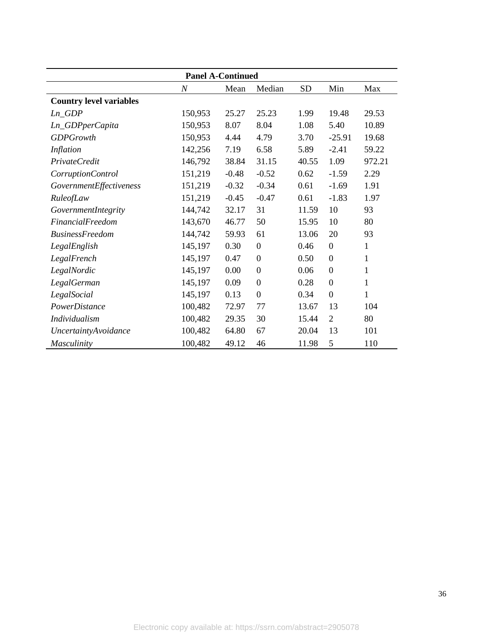| <b>Panel A-Continued</b>       |                  |         |                  |           |                  |              |  |  |  |
|--------------------------------|------------------|---------|------------------|-----------|------------------|--------------|--|--|--|
|                                | $\boldsymbol{N}$ | Mean    | Median           | <b>SD</b> | Min              | Max          |  |  |  |
| <b>Country level variables</b> |                  |         |                  |           |                  |              |  |  |  |
| $Ln_GDP$                       | 150,953          | 25.27   | 25.23            | 1.99      | 19.48            | 29.53        |  |  |  |
| Ln_GDPperCapita                | 150,953          | 8.07    | 8.04             | 1.08      | 5.40             | 10.89        |  |  |  |
| <b>GDPGrowth</b>               | 150,953          | 4.44    | 4.79             | 3.70      | $-25.91$         | 19.68        |  |  |  |
| Inflation                      | 142,256          | 7.19    | 6.58             | 5.89      | $-2.41$          | 59.22        |  |  |  |
| PrivateCredit                  | 146,792          | 38.84   | 31.15            | 40.55     | 1.09             | 972.21       |  |  |  |
| CorruptionControl              | 151,219          | $-0.48$ | $-0.52$          | 0.62      | $-1.59$          | 2.29         |  |  |  |
| GovernmentEffectiveness        | 151,219          | $-0.32$ | $-0.34$          | 0.61      | $-1.69$          | 1.91         |  |  |  |
| RuleofLaw                      | 151,219          | $-0.45$ | $-0.47$          | 0.61      | $-1.83$          | 1.97         |  |  |  |
| GovernmentIntegrity            | 144,742          | 32.17   | 31               | 11.59     | 10               | 93           |  |  |  |
| <i>FinancialFreedom</i>        | 143,670          | 46.77   | 50               | 15.95     | 10               | 80           |  |  |  |
| <b>BusinessFreedom</b>         | 144,742          | 59.93   | 61               | 13.06     | 20               | 93           |  |  |  |
| LegalEnglish                   | 145,197          | 0.30    | $\boldsymbol{0}$ | 0.46      | $\boldsymbol{0}$ | 1            |  |  |  |
| LegalFrench                    | 145,197          | 0.47    | $\theta$         | 0.50      | $\boldsymbol{0}$ | $\mathbf{1}$ |  |  |  |
| LegalNordic                    | 145,197          | 0.00    | $\boldsymbol{0}$ | 0.06      | $\boldsymbol{0}$ | $\mathbf{1}$ |  |  |  |
| LegalGerman                    | 145,197          | 0.09    | $\overline{0}$   | 0.28      | $\overline{0}$   | $\mathbf{1}$ |  |  |  |
| LegalSocial                    | 145,197          | 0.13    | $\mathbf{0}$     | 0.34      | $\boldsymbol{0}$ | $\mathbf{1}$ |  |  |  |
| PowerDistance                  | 100,482          | 72.97   | 77               | 13.67     | 13               | 104          |  |  |  |
| <b>Individualism</b>           | 100,482          | 29.35   | 30               | 15.44     | $\overline{2}$   | 80           |  |  |  |
| <b>UncertaintyAvoidance</b>    | 100,482          | 64.80   | 67               | 20.04     | 13               | 101          |  |  |  |
| Masculinity                    | 100,482          | 49.12   | 46               | 11.98     | 5                | 110          |  |  |  |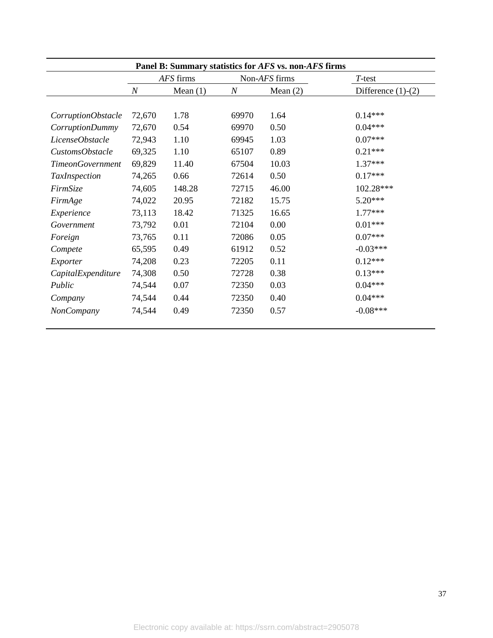| Panel B: Summary statistics for AFS vs. non-AFS firms |                  |            |          |               |                      |  |  |  |  |
|-------------------------------------------------------|------------------|------------|----------|---------------|----------------------|--|--|--|--|
|                                                       |                  | AFS firms  |          | Non-AFS firms | T-test               |  |  |  |  |
|                                                       | $\boldsymbol{N}$ | Mean $(1)$ | $\cal N$ | Mean $(2)$    | Difference $(1)-(2)$ |  |  |  |  |
|                                                       |                  |            |          |               |                      |  |  |  |  |
| CorruptionObstacle                                    | 72,670           | 1.78       | 69970    | 1.64          | $0.14***$            |  |  |  |  |
| CorruptionDummy                                       | 72,670           | 0.54       | 69970    | 0.50          | $0.04***$            |  |  |  |  |
| LicenseObstacle                                       | 72,943           | 1.10       | 69945    | 1.03          | $0.07***$            |  |  |  |  |
| CustomsObstacle                                       | 69,325           | 1.10       | 65107    | 0.89          | $0.21***$            |  |  |  |  |
| <b>TimeonGovernment</b>                               | 69,829           | 11.40      | 67504    | 10.03         | $1.37***$            |  |  |  |  |
| <b>TaxInspection</b>                                  | 74,265           | 0.66       | 72614    | 0.50          | $0.17***$            |  |  |  |  |
| FirmSize                                              | 74,605           | 148.28     | 72715    | 46.00         | 102.28***            |  |  |  |  |
| FirmAge                                               | 74,022           | 20.95      | 72182    | 15.75         | $5.20***$            |  |  |  |  |
| Experience                                            | 73,113           | 18.42      | 71325    | 16.65         | $1.77***$            |  |  |  |  |
| Government                                            | 73,792           | 0.01       | 72104    | 0.00          | $0.01***$            |  |  |  |  |
| Foreign                                               | 73,765           | 0.11       | 72086    | 0.05          | $0.07***$            |  |  |  |  |
| Compete                                               | 65,595           | 0.49       | 61912    | 0.52          | $-0.03***$           |  |  |  |  |
| Exporter                                              | 74,208           | 0.23       | 72205    | 0.11          | $0.12***$            |  |  |  |  |
| CapitalExpenditure                                    | 74,308           | 0.50       | 72728    | 0.38          | $0.13***$            |  |  |  |  |
| Public                                                | 74,544           | 0.07       | 72350    | 0.03          | $0.04***$            |  |  |  |  |
| Company                                               | 74,544           | 0.44       | 72350    | 0.40          | $0.04***$            |  |  |  |  |
| <b>NonCompany</b>                                     | 74,544           | 0.49       | 72350    | 0.57          | $-0.08***$           |  |  |  |  |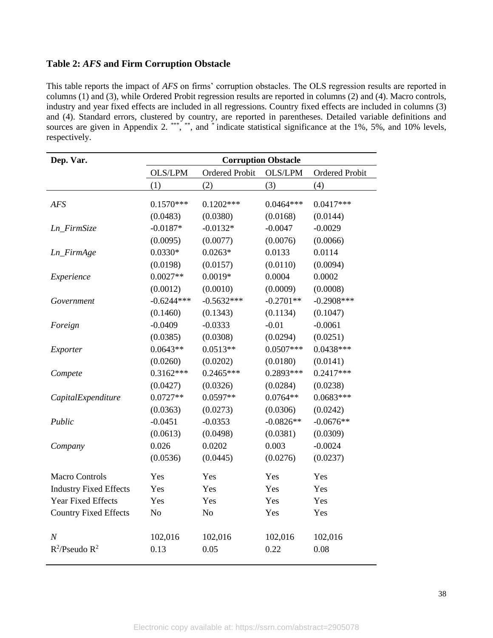## **Table 2:** *AFS* **and Firm Corruption Obstacle**

This table reports the impact of *AFS* on firms' corruption obstacles. The OLS regression results are reported in columns (1) and (3), while Ordered Probit regression results are reported in columns (2) and (4). Macro controls, industry and year fixed effects are included in all regressions. Country fixed effects are included in columns (3) and (4). Standard errors, clustered by country, are reported in parentheses. Detailed variable definitions and sources are given in Appendix 2.<sup>\*\*\*</sup>,\*\*\*, and \* indicate statistical significance at the 1%, 5%, and 10% levels, respectively.

| Dep. Var.                     | <b>Corruption Obstacle</b> |                       |                |                       |  |  |  |  |
|-------------------------------|----------------------------|-----------------------|----------------|-----------------------|--|--|--|--|
|                               | OLS/LPM                    | <b>Ordered Probit</b> | <b>OLS/LPM</b> | <b>Ordered Probit</b> |  |  |  |  |
|                               | (1)                        | (2)                   | (3)            | (4)                   |  |  |  |  |
| <b>AFS</b>                    | $0.1570***$                | $0.1202***$           | $0.0464***$    | $0.0417***$           |  |  |  |  |
|                               | (0.0483)                   | (0.0380)              | (0.0168)       | (0.0144)              |  |  |  |  |
| Ln_FirmSize                   | $-0.0187*$                 | $-0.0132*$            | $-0.0047$      | $-0.0029$             |  |  |  |  |
|                               | (0.0095)                   | (0.0077)              | (0.0076)       | (0.0066)              |  |  |  |  |
| Ln_FirmAge                    | $0.0330*$                  | $0.0263*$             | 0.0133         | 0.0114                |  |  |  |  |
|                               | (0.0198)                   | (0.0157)              | (0.0110)       | (0.0094)              |  |  |  |  |
| Experience                    | $0.0027**$                 | $0.0019*$             | 0.0004         | 0.0002                |  |  |  |  |
|                               | (0.0012)                   | (0.0010)              | (0.0009)       | (0.0008)              |  |  |  |  |
| Government                    | $-0.6244***$               | $-0.5632***$          | $-0.2701**$    | $-0.2908$ ***         |  |  |  |  |
|                               | (0.1460)                   | (0.1343)              | (0.1134)       | (0.1047)              |  |  |  |  |
| Foreign                       | $-0.0409$                  | $-0.0333$             | $-0.01$        | $-0.0061$             |  |  |  |  |
|                               | (0.0385)                   | (0.0308)              | (0.0294)       | (0.0251)              |  |  |  |  |
| Exporter                      | $0.0643**$                 | $0.0513**$            | $0.0507***$    | $0.0438***$           |  |  |  |  |
|                               | (0.0260)                   | (0.0202)              | (0.0180)       | (0.0141)              |  |  |  |  |
| Compete                       | $0.3162***$                | $0.2465***$           | 0.2893***      | $0.2417***$           |  |  |  |  |
|                               | (0.0427)                   | (0.0326)              | (0.0284)       | (0.0238)              |  |  |  |  |
| CapitalExpenditure            | $0.0727**$                 | $0.0597**$            | $0.0764**$     | $0.0683***$           |  |  |  |  |
|                               | (0.0363)                   | (0.0273)              | (0.0306)       | (0.0242)              |  |  |  |  |
| Public                        | $-0.0451$                  | $-0.0353$             | $-0.0826**$    | $-0.0676**$           |  |  |  |  |
|                               | (0.0613)                   | (0.0498)              | (0.0381)       | (0.0309)              |  |  |  |  |
| Company                       | 0.026                      | 0.0202                | 0.003          | $-0.0024$             |  |  |  |  |
|                               | (0.0536)                   | (0.0445)              | (0.0276)       | (0.0237)              |  |  |  |  |
| <b>Macro Controls</b>         | Yes                        | Yes                   | Yes            | Yes                   |  |  |  |  |
| <b>Industry Fixed Effects</b> | Yes                        | Yes                   | Yes            | Yes                   |  |  |  |  |
| Year Fixed Effects            | Yes                        | Yes                   | Yes            | Yes                   |  |  |  |  |
| <b>Country Fixed Effects</b>  | N <sub>o</sub>             | N <sub>o</sub>        | Yes            | Yes                   |  |  |  |  |
| $\boldsymbol{N}$              | 102,016                    | 102,016               | 102,016        | 102,016               |  |  |  |  |
| $R^2$ /Pseudo $R^2$           | 0.13                       | 0.05                  | 0.22           | 0.08                  |  |  |  |  |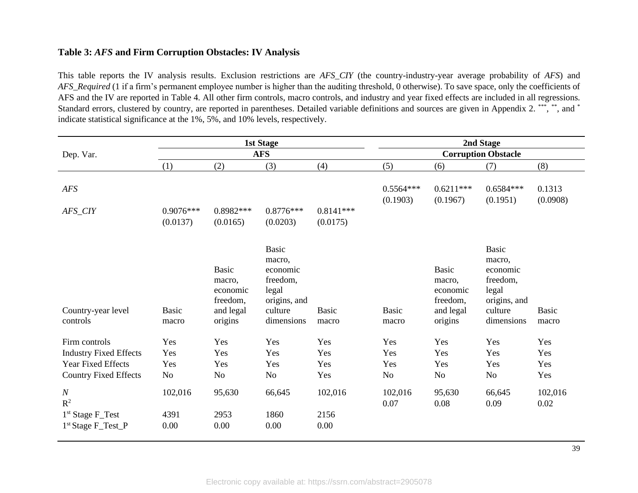#### **Table 3:** *AFS* **and Firm Corruption Obstacles: IV Analysis**

This table reports the IV analysis results. Exclusion restrictions are *AFS\_CIY* (the country-industry-year average probability of *AFS*) and *AFS\_Required* (1 if a firm's permanent employee number is higher than the auditing threshold, 0 otherwise). To save space, only the coefficients of AFS and the IV are reported in Table 4. All other firm controls, macro controls, and industry and year fixed effects are included in all regressions. Standard errors, clustered by country, are reported in parentheses. Detailed variable definitions and sources are given in Appendix 2. \*\*\*, \*\*, and \* indicate statistical significance at the 1%, 5%, and 10% levels, respectively.

|                                | <b>1st Stage</b>        |                                                                        |                                                                                                  |                         | 2nd Stage                  |                                                                        |                                                                                                  |                       |  |
|--------------------------------|-------------------------|------------------------------------------------------------------------|--------------------------------------------------------------------------------------------------|-------------------------|----------------------------|------------------------------------------------------------------------|--------------------------------------------------------------------------------------------------|-----------------------|--|
| Dep. Var.                      |                         |                                                                        | <b>AFS</b>                                                                                       |                         | <b>Corruption Obstacle</b> |                                                                        |                                                                                                  |                       |  |
|                                | (1)                     | (2)                                                                    | (3)                                                                                              | (4)                     | (5)                        | (6)                                                                    | (7)                                                                                              | (8)                   |  |
| <b>AFS</b>                     |                         |                                                                        |                                                                                                  |                         | $0.5564***$<br>(0.1903)    | $0.6211***$<br>(0.1967)                                                | $0.6584***$<br>(0.1951)                                                                          | 0.1313<br>(0.0908)    |  |
| AFS_CIY                        | $0.9076***$<br>(0.0137) | $0.8982***$<br>(0.0165)                                                | $0.8776***$<br>(0.0203)                                                                          | $0.8141***$<br>(0.0175) |                            |                                                                        |                                                                                                  |                       |  |
| Country-year level<br>controls | <b>Basic</b><br>macro   | <b>Basic</b><br>macro,<br>economic<br>freedom,<br>and legal<br>origins | <b>Basic</b><br>macro,<br>economic<br>freedom,<br>legal<br>origins, and<br>culture<br>dimensions | <b>Basic</b><br>macro   | <b>Basic</b><br>macro      | <b>Basic</b><br>macro,<br>economic<br>freedom,<br>and legal<br>origins | <b>Basic</b><br>macro,<br>economic<br>freedom,<br>legal<br>origins, and<br>culture<br>dimensions | <b>Basic</b><br>macro |  |
| Firm controls                  | Yes                     | Yes                                                                    | Yes                                                                                              | Yes                     | Yes                        | Yes                                                                    | Yes                                                                                              | Yes                   |  |
| <b>Industry Fixed Effects</b>  | Yes                     | Yes                                                                    | Yes                                                                                              | Yes                     | Yes                        | Yes                                                                    | Yes                                                                                              | Yes                   |  |
| <b>Year Fixed Effects</b>      | Yes                     | Yes                                                                    | Yes                                                                                              | Yes                     | Yes                        | Yes                                                                    | Yes                                                                                              | Yes                   |  |
| <b>Country Fixed Effects</b>   | <b>No</b>               | No                                                                     | No                                                                                               | Yes                     | No                         | No                                                                     | No                                                                                               | Yes                   |  |
| $\cal N$<br>$\mathbb{R}^2$     | 102,016                 | 95,630                                                                 | 66,645                                                                                           | 102,016                 | 102,016<br>0.07            | 95,630<br>0.08                                                         | 66,645<br>0.09                                                                                   | 102,016<br>0.02       |  |
| 1 <sup>st</sup> Stage F_Test   | 4391                    | 2953                                                                   | 1860                                                                                             | 2156                    |                            |                                                                        |                                                                                                  |                       |  |
| 1 <sup>st</sup> Stage F_Test_P | 0.00                    | 0.00                                                                   | 0.00                                                                                             | 0.00                    |                            |                                                                        |                                                                                                  |                       |  |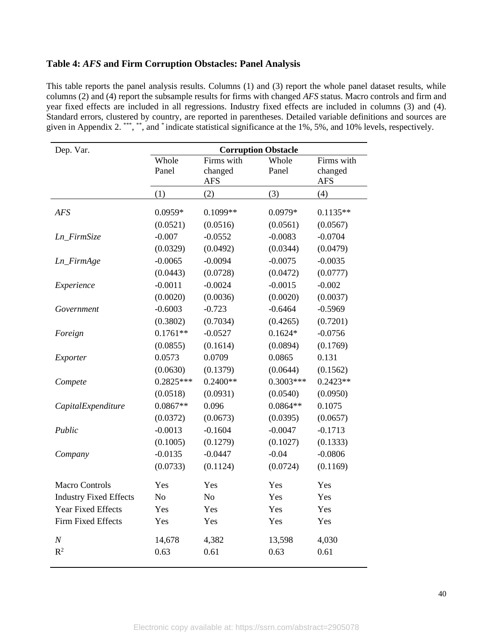#### **Table 4:** *AFS* **and Firm Corruption Obstacles: Panel Analysis**

This table reports the panel analysis results. Columns (1) and (3) report the whole panel dataset results, while columns (2) and (4) report the subsample results for firms with changed *AFS* status. Macro controls and firm and year fixed effects are included in all regressions. Industry fixed effects are included in columns (3) and (4). Standard errors, clustered by country, are reported in parentheses. Detailed variable definitions and sources are given in Appendix 2. \*\*\*, \*\*, and \* indicate statistical significance at the 1%, 5%, and 10% levels, respectively.

| Dep. Var.                     | <b>Corruption Obstacle</b> |                                     |                |                                     |  |  |  |
|-------------------------------|----------------------------|-------------------------------------|----------------|-------------------------------------|--|--|--|
|                               | Whole<br>Panel             | Firms with<br>changed<br><b>AFS</b> | Whole<br>Panel | Firms with<br>changed<br><b>AFS</b> |  |  |  |
|                               | (1)                        | (2)                                 | (3)            | (4)                                 |  |  |  |
| <b>AFS</b>                    | $0.0959*$                  | $0.1099**$                          | 0.0979*        | $0.1135**$                          |  |  |  |
|                               | (0.0521)                   | (0.0516)                            | (0.0561)       | (0.0567)                            |  |  |  |
| Ln_FirmSize                   | $-0.007$                   | $-0.0552$                           | $-0.0083$      | $-0.0704$                           |  |  |  |
|                               | (0.0329)                   | (0.0492)                            | (0.0344)       | (0.0479)                            |  |  |  |
| Ln_FirmAge                    | $-0.0065$                  | $-0.0094$                           | $-0.0075$      | $-0.0035$                           |  |  |  |
|                               | (0.0443)                   | (0.0728)                            | (0.0472)       | (0.0777)                            |  |  |  |
| Experience                    | $-0.0011$                  | $-0.0024$                           | $-0.0015$      | $-0.002$                            |  |  |  |
|                               | (0.0020)                   | (0.0036)                            | (0.0020)       | (0.0037)                            |  |  |  |
| Government                    | $-0.6003$                  | $-0.723$                            | $-0.6464$      | $-0.5969$                           |  |  |  |
|                               | (0.3802)                   | (0.7034)                            | (0.4265)       | (0.7201)                            |  |  |  |
| Foreign                       | $0.1761**$                 | $-0.0527$                           | $0.1624*$      | $-0.0756$                           |  |  |  |
|                               | (0.0855)                   | (0.1614)                            | (0.0894)       | (0.1769)                            |  |  |  |
| Exporter                      | 0.0573                     | 0.0709                              | 0.0865         | 0.131                               |  |  |  |
| Compete                       | (0.0630)                   | (0.1379)                            | (0.0644)       | (0.1562)                            |  |  |  |
|                               | $0.2825***$                | $0.2400**$                          | $0.3003***$    | $0.2423**$                          |  |  |  |
| CapitalExpenditure            | (0.0518)                   | (0.0931)                            | (0.0540)       | (0.0950)                            |  |  |  |
|                               | $0.0867**$                 | 0.096                               | $0.0864**$     | 0.1075                              |  |  |  |
|                               | (0.0372)                   | (0.0673)                            | (0.0395)       | (0.0657)                            |  |  |  |
| Public                        | $-0.0013$                  | $-0.1604$                           | $-0.0047$      | $-0.1713$                           |  |  |  |
|                               | (0.1005)                   | (0.1279)                            | (0.1027)       | (0.1333)                            |  |  |  |
| Company                       | $-0.0135$                  | $-0.0447$                           | $-0.04$        | $-0.0806$                           |  |  |  |
|                               | (0.0733)                   | (0.1124)                            | (0.0724)       | (0.1169)                            |  |  |  |
| Macro Controls                | Yes                        | Yes                                 | Yes            | Yes                                 |  |  |  |
| <b>Industry Fixed Effects</b> | N <sub>o</sub>             | N <sub>o</sub>                      | Yes            | Yes                                 |  |  |  |
| <b>Year Fixed Effects</b>     | Yes                        | Yes                                 | Yes            | Yes                                 |  |  |  |
| Firm Fixed Effects            | Yes                        | Yes                                 | Yes            | Yes                                 |  |  |  |
| $\cal N$                      | 14,678                     | 4,382                               | 13,598         | 4,030                               |  |  |  |
| $R^2$                         | 0.63                       | 0.61                                | 0.63           | 0.61                                |  |  |  |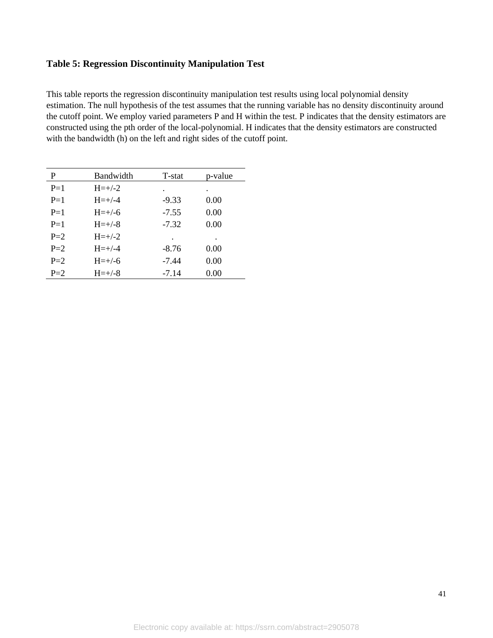## **Table 5: Regression Discontinuity Manipulation Test**

This table reports the regression discontinuity manipulation test results using local polynomial density estimation. The null hypothesis of the test assumes that the running variable has no density discontinuity around the cutoff point. We employ varied parameters P and H within the test. P indicates that the density estimators are constructed using the pth order of the local-polynomial. H indicates that the density estimators are constructed with the bandwidth (h) on the left and right sides of the cutoff point.

| P     | <b>Bandwidth</b> | T-stat  | p-value |
|-------|------------------|---------|---------|
| $P=1$ | $H = +/-2$       | ٠       |         |
| $P=1$ | $H = +/-4$       | $-9.33$ | 0.00    |
| $P=1$ | $H = +/-6$       | $-7.55$ | 0.00    |
| $P=1$ | $H = +/-8$       | $-7.32$ | 0.00    |
| $P=2$ | $H = +/-2$       | ٠       |         |
| $P=2$ | $H = +/-4$       | $-8.76$ | 0.00    |
| $P=2$ | $H = +/-6$       | -7.44   | 0.00    |
| $P=2$ | $H = +/-8$       | $-7.14$ | 0.00    |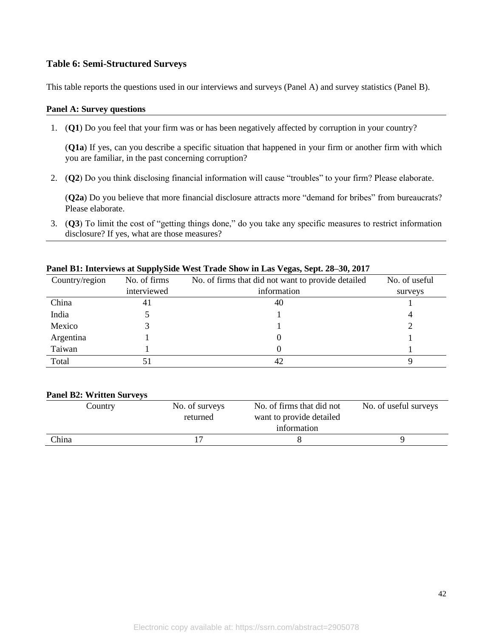#### **Table 6: Semi-Structured Surveys**

This table reports the questions used in our interviews and surveys (Panel A) and survey statistics (Panel B).

#### **Panel A: Survey questions**

1. (**Q1**) Do you feel that your firm was or has been negatively affected by corruption in your country?

(**Q1a**) If yes, can you describe a specific situation that happened in your firm or another firm with which you are familiar, in the past concerning corruption?

2. (**Q2**) Do you think disclosing financial information will cause "troubles" to your firm? Please elaborate.

(**Q2a**) Do you believe that more financial disclosure attracts more "demand for bribes" from bureaucrats? Please elaborate.

3. (**Q3**) To limit the cost of "getting things done," do you take any specific measures to restrict information disclosure? If yes, what are those measures?

| Country/region | No. of firms | No. of firms that did not want to provide detailed | No. of useful |
|----------------|--------------|----------------------------------------------------|---------------|
|                | interviewed  | information                                        | surveys       |
| China          | 41           | 40                                                 |               |
| India          |              |                                                    |               |
| Mexico         |              |                                                    |               |
| Argentina      |              |                                                    |               |
| Taiwan         |              |                                                    |               |
| Total          |              |                                                    |               |

#### **Panel B1: Interviews at SupplySide West Trade Show in Las Vegas, Sept. 28–30, 2017**

#### **Panel B2: Written Surveys**

| Country | No. of surveys | No. of firms that did not | No. of useful surveys |
|---------|----------------|---------------------------|-----------------------|
|         | returned       | want to provide detailed  |                       |
|         |                | information               |                       |
| China   |                |                           |                       |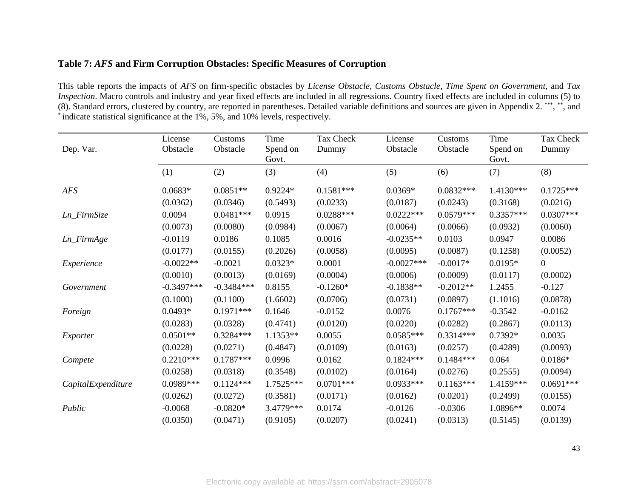#### **Table 7:** *AFS* **and Firm Corruption Obstacles: Specific Measures of Corruption**

This table reports the impacts of *AFS* on firm-specific obstacles by *License Obstacle*, *Customs Obstacle*, *Time Spent on Government,* and *Tax Inspection*. Macro controls and industry and year fixed effects are included in all regressions. Country fixed effects are included in columns (5) to (8). Standard errors, clustered by country, are reported in parentheses. Detailed variable definitions and sources are given in Appendix 2. \*\*\*, \*\*, and \* indicate statistical significance at the 1%, 5%, and 10% levels, respectively.

| Dep. Var.          | License<br>Obstacle | Customs<br>Obstacle | Time<br>Spend on<br>Govt. | Tax Check<br>Dummy | License<br>Obstacle | Customs<br>Obstacle | Time<br>Spend on<br>Govt. | Tax Check<br>Dummy |
|--------------------|---------------------|---------------------|---------------------------|--------------------|---------------------|---------------------|---------------------------|--------------------|
|                    | (1)                 | (2)                 | (3)                       | (4)                | (5)                 | (6)                 | (7)                       | (8)                |
| AFS                | $0.0683*$           | $0.0851**$          | $0.9224*$                 | $0.1581***$        | $0.0369*$           | $0.0832***$         | 1.4130***                 | $0.1725***$        |
| Ln_FirmSize        | (0.0362)            | (0.0346)            | (0.5493)                  | (0.0233)           | (0.0187)            | (0.0243)            | (0.3168)                  | (0.0216)           |
|                    | 0.0094              | $0.0481***$         | 0.0915                    | $0.0288***$        | $0.0222***$         | $0.0579***$         | $0.3357***$               | $0.0307***$        |
|                    | (0.0073)            | (0.0080)            | (0.0984)                  | (0.0067)           | (0.0064)            | (0.0066)            | (0.0932)                  | (0.0060)           |
| Ln_FirmAge         | $-0.0119$           | 0.0186              | 0.1085                    | 0.0016             | $-0.0235**$         | 0.0103              | 0.0947                    | 0.0086             |
|                    | (0.0177)            | (0.0155)            | (0.2026)                  | (0.0058)           | (0.0095)            | (0.0087)            | (0.1258)                  | (0.0052)           |
| Experience         | $-0.0022**$         | $-0.0021$           | $0.0323*$                 | 0.0001             | $-0.0027***$        | $-0.0017*$          | $0.0195*$                 | $\boldsymbol{0}$   |
|                    | (0.0010)            | (0.0013)            | (0.0169)                  | (0.0004)           | (0.0006)            | (0.0009)            | (0.0117)                  | (0.0002)           |
| Government         | $-0.3497***$        | $-0.3484***$        | 0.8155                    | $-0.1260*$         | $-0.1838**$         | $-0.2012**$         | 1.2455                    | $-0.127$           |
|                    | (0.1000)            | (0.1100)            | (1.6602)                  | (0.0706)           | (0.0731)            | (0.0897)            | (1.1016)                  | (0.0878)           |
| Foreign            | $0.0493*$           | $0.1971***$         | 0.1646                    | $-0.0152$          | 0.0076              | $0.1767***$         | $-0.3542$                 | $-0.0162$          |
|                    | (0.0283)            | (0.0328)            | (0.4741)                  | (0.0120)           | (0.0220)            | (0.0282)            | (0.2867)                  | (0.0113)           |
| Exporter           | $0.0501**$          | $0.3284***$         | $1.1353**$                | 0.0055             | $0.0585***$         | $0.3314***$         | 0.7392*                   | 0.0035             |
|                    | (0.0228)            | (0.0271)            | (0.4847)                  | (0.0109)           | (0.0163)            | (0.0257)            | (0.4289)                  | (0.0093)           |
| Compete            | $0.2210***$         | $0.1787***$         | 0.0996                    | 0.0162             | $0.1824***$         | $0.1484***$         | 0.064                     | $0.0186*$          |
|                    | (0.0258)            | (0.0318)            | (0.3548)                  | (0.0102)           | (0.0164)            | (0.0276)            | (0.2555)                  | (0.0094)           |
| CapitalExpenditure | 0.0989***           | $0.1124***$         | 1.7525***                 | $0.0701***$        | $0.0933***$         | $0.1163***$         | 1.4159***                 | $0.0691***$        |
|                    | (0.0262)            | (0.0272)            | (0.3581)                  | (0.0171)           | (0.0162)            | (0.0201)            | (0.2499)                  | (0.0155)           |
| Public             | $-0.0068$           | $-0.0820*$          | 3.4779***                 | 0.0174             | $-0.0126$           | $-0.0306$           | 1.0896**                  | 0.0074             |
|                    | (0.0350)            | (0.0471)            | (0.9105)                  | (0.0207)           | (0.0241)            | (0.0313)            | (0.5145)                  | (0.0139)           |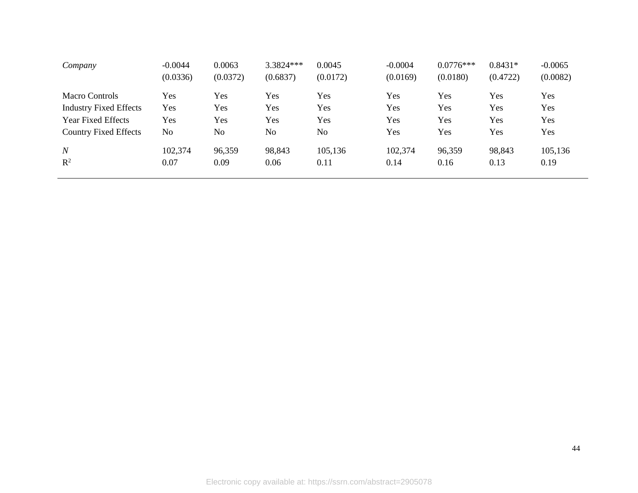| Company                       | $-0.0044$ | 0.0063         | 3.3824 *** | 0.0045   | $-0.0004$ | $0.0776***$ | $0.8431*$ | $-0.0065$ |
|-------------------------------|-----------|----------------|------------|----------|-----------|-------------|-----------|-----------|
|                               | (0.0336)  | (0.0372)       | (0.6837)   | (0.0172) | (0.0169)  | (0.0180)    | (0.4722)  | (0.0082)  |
| Macro Controls                | Yes       | Yes            | Yes        | Yes      | Yes       | Yes         | Yes       | Yes       |
| <b>Industry Fixed Effects</b> | Yes       | Yes            | Yes        | Yes      | Yes       | Yes         | Yes       | Yes       |
| <b>Year Fixed Effects</b>     | Yes       | Yes            | Yes        | Yes      | Yes       | Yes         | Yes       | Yes       |
| <b>Country Fixed Effects</b>  | No        | N <sub>o</sub> | No         | No       | Yes       | Yes         | Yes       | Yes       |
| $\boldsymbol{N}$              | 102,374   | 96,359         | 98,843     | 105,136  | 102,374   | 96,359      | 98,843    | 105,136   |
| $\mathbb{R}^2$                | 0.07      | 0.09           | 0.06       | 0.11     | 0.14      | 0.16        | 0.13      | 0.19      |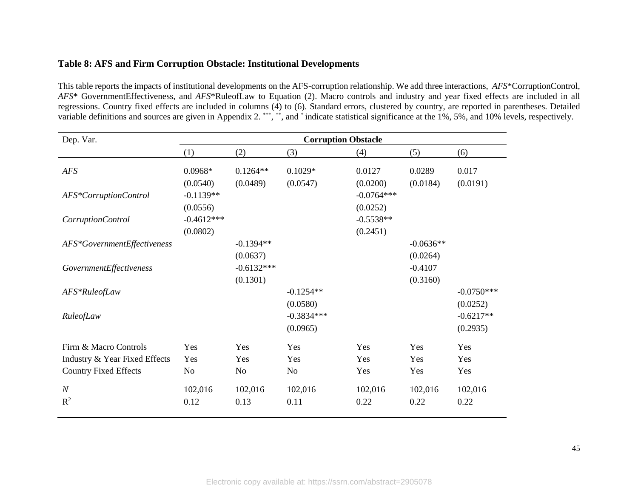#### **Table 8: AFS and Firm Corruption Obstacle: Institutional Developments**

This table reports the impacts of institutional developments on the AFS-corruption relationship. We add three interactions, *AFS*\*CorruptionControl, *AFS*\* GovernmentEffectiveness, and *AFS*\*RuleofLaw to Equation (2). Macro controls and industry and year fixed effects are included in all regressions. Country fixed effects are included in columns (4) to (6). Standard errors, clustered by country, are reported in parentheses. Detailed variable definitions and sources are given in Appendix 2.<sup>\*\*\*</sup>,\*\*, and \* indicate statistical significance at the 1%, 5%, and 10% levels, respectively.

| Dep. Var.                          | <b>Corruption Obstacle</b> |                          |                          |                          |                         |                          |  |
|------------------------------------|----------------------------|--------------------------|--------------------------|--------------------------|-------------------------|--------------------------|--|
|                                    | (1)                        | (2)                      | (3)                      | (4)                      | (5)                     | (6)                      |  |
| AFS                                | $0.0968*$<br>(0.0540)      | $0.1264**$<br>(0.0489)   | $0.1029*$<br>(0.0547)    | 0.0127<br>(0.0200)       | 0.0289<br>(0.0184)      | 0.017<br>(0.0191)        |  |
| AFS*CorruptionControl              | $-0.1139**$<br>(0.0556)    |                          |                          | $-0.0764***$<br>(0.0252) |                         |                          |  |
| CorruptionControl                  | $-0.4612***$<br>(0.0802)   |                          |                          | $-0.5538**$<br>(0.2451)  |                         |                          |  |
| AFS*GovernmentEffectiveness        |                            | $-0.1394**$<br>(0.0637)  |                          |                          | $-0.0636**$<br>(0.0264) |                          |  |
| GovernmentEffectiveness            |                            | $-0.6132***$<br>(0.1301) |                          |                          | $-0.4107$<br>(0.3160)   |                          |  |
| AFS*RuleofLaw                      |                            |                          | $-0.1254**$<br>(0.0580)  |                          |                         | $-0.0750***$<br>(0.0252) |  |
| RuleofLaw                          |                            |                          | $-0.3834***$<br>(0.0965) |                          |                         | $-0.6217**$<br>(0.2935)  |  |
| Firm & Macro Controls              | Yes                        | Yes                      | Yes                      | Yes                      | Yes                     | Yes                      |  |
| Industry & Year Fixed Effects      | Yes                        | Yes                      | Yes                      | Yes                      | Yes                     | Yes                      |  |
| <b>Country Fixed Effects</b>       | No                         | N <sub>o</sub>           | No                       | Yes                      | Yes                     | Yes                      |  |
| $\boldsymbol{N}$<br>$\mathbb{R}^2$ | 102,016<br>0.12            | 102,016<br>0.13          | 102,016<br>0.11          | 102,016<br>0.22          | 102,016<br>0.22         | 102,016<br>0.22          |  |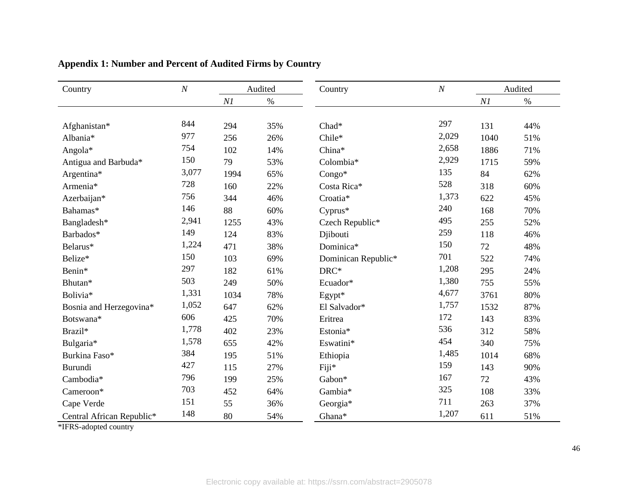| Country                   | $\cal N$ | Audited |      | Country             | $\cal N$ | Audited |      |
|---------------------------|----------|---------|------|---------------------|----------|---------|------|
|                           |          | N1      | $\%$ |                     |          | NI      | $\%$ |
|                           |          |         |      |                     |          |         |      |
| Afghanistan*              | 844      | 294     | 35%  | Chad*               | 297      | 131     | 44%  |
| Albania*                  | 977      | 256     | 26%  | Chile*              | 2,029    | 1040    | 51%  |
| Angola*                   | 754      | 102     | 14%  | China*              | 2,658    | 1886    | 71%  |
| Antigua and Barbuda*      | 150      | 79      | 53%  | Colombia*           | 2,929    | 1715    | 59%  |
| Argentina*                | 3,077    | 1994    | 65%  | $Congo*$            | 135      | 84      | 62%  |
| Armenia*                  | 728      | 160     | 22%  | Costa Rica*         | 528      | 318     | 60%  |
| Azerbaijan*               | 756      | 344     | 46%  | Croatia*            | 1,373    | 622     | 45%  |
| Bahamas*                  | 146      | 88      | 60%  | Cyprus*             | 240      | 168     | 70%  |
| Bangladesh*               | 2,941    | 1255    | 43%  | Czech Republic*     | 495      | 255     | 52%  |
| Barbados*                 | 149      | 124     | 83%  | Djibouti            | 259      | 118     | 46%  |
| Belarus*                  | 1,224    | 471     | 38%  | Dominica*           | 150      | 72      | 48%  |
| Belize*                   | 150      | 103     | 69%  | Dominican Republic* | 701      | 522     | 74%  |
| Benin*                    | 297      | 182     | 61%  | DRC*                | 1,208    | 295     | 24%  |
| Bhutan*                   | 503      | 249     | 50%  | Ecuador*            | 1,380    | 755     | 55%  |
| Bolivia*                  | 1,331    | 1034    | 78%  | Egypt*              | 4,677    | 3761    | 80%  |
| Bosnia and Herzegovina*   | 1,052    | 647     | 62%  | El Salvador*        | 1,757    | 1532    | 87%  |
| Botswana*                 | 606      | 425     | 70%  | Eritrea             | 172      | 143     | 83%  |
| Brazil*                   | 1,778    | 402     | 23%  | Estonia*            | 536      | 312     | 58%  |
| Bulgaria*                 | 1,578    | 655     | 42%  | Eswatini*           | 454      | 340     | 75%  |
| Burkina Faso*             | 384      | 195     | 51%  | Ethiopia            | 1,485    | 1014    | 68%  |
| Burundi                   | 427      | 115     | 27%  | Fiji*               | 159      | 143     | 90%  |
| Cambodia*                 | 796      | 199     | 25%  | Gabon*              | 167      | 72      | 43%  |
| Cameroon*                 | 703      | 452     | 64%  | Gambia*             | 325      | 108     | 33%  |
| Cape Verde                | 151      | 55      | 36%  | Georgia*            | 711      | 263     | 37%  |
| Central African Republic* | 148      | 80      | 54%  | Ghana*              | 1,207    | 611     | 51%  |

## **Appendix 1: Number and Percent of Audited Firms by Country**

\*IFRS-adopted country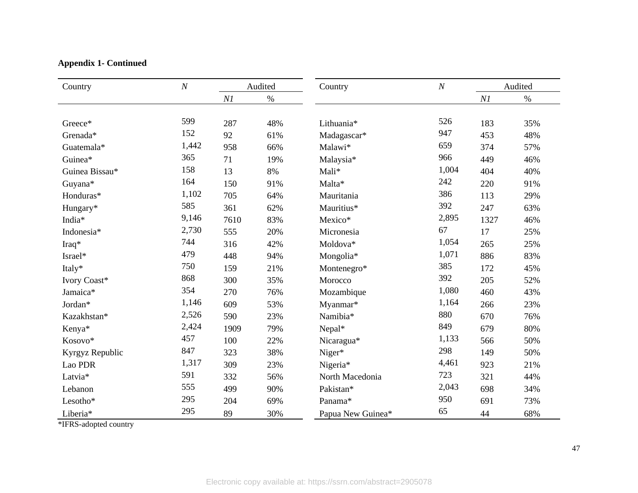## **Appendix 1- Continued**

| Country         | $\cal N$ | Audited  |      | Country           | $\cal N$ | Audited  |      |
|-----------------|----------|----------|------|-------------------|----------|----------|------|
|                 |          | $\it N1$ | $\%$ |                   |          | $\it NI$ | $\%$ |
|                 |          |          |      |                   |          |          |      |
| Greece*         | 599      | 287      | 48%  | Lithuania*        | 526      | 183      | 35%  |
| Grenada*        | 152      | 92       | 61%  | Madagascar*       | 947      | 453      | 48%  |
| Guatemala*      | 1,442    | 958      | 66%  | Malawi*           | 659      | 374      | 57%  |
| Guinea*         | 365      | 71       | 19%  | Malaysia*         | 966      | 449      | 46%  |
| Guinea Bissau*  | 158      | 13       | 8%   | Mali*             | 1,004    | 404      | 40%  |
| Guyana*         | 164      | 150      | 91%  | Malta*            | 242      | 220      | 91%  |
| Honduras*       | 1,102    | 705      | 64%  | Mauritania        | 386      | 113      | 29%  |
| Hungary*        | 585      | 361      | 62%  | Mauritius*        | 392      | 247      | 63%  |
| India*          | 9,146    | 7610     | 83%  | Mexico*           | 2,895    | 1327     | 46%  |
| Indonesia*      | 2,730    | 555      | 20%  | Micronesia        | 67       | 17       | 25%  |
| Iraq*           | 744      | 316      | 42%  | Moldova*          | 1,054    | 265      | 25%  |
| Israel*         | 479      | 448      | 94%  | Mongolia*         | 1,071    | 886      | 83%  |
| Italy*          | 750      | 159      | 21%  | Montenegro*       | 385      | 172      | 45%  |
| Ivory Coast*    | 868      | 300      | 35%  | Morocco           | 392      | 205      | 52%  |
| Jamaica*        | 354      | 270      | 76%  | Mozambique        | 1,080    | 460      | 43%  |
| Jordan*         | 1,146    | 609      | 53%  | Myanmar*          | 1,164    | 266      | 23%  |
| Kazakhstan*     | 2,526    | 590      | 23%  | Namibia*          | 880      | 670      | 76%  |
| Kenya*          | 2,424    | 1909     | 79%  | Nepal*            | 849      | 679      | 80%  |
| Kosovo*         | 457      | 100      | 22%  | Nicaragua*        | 1,133    | 566      | 50%  |
| Kyrgyz Republic | 847      | 323      | 38%  | Niger*            | 298      | 149      | 50%  |
| Lao PDR         | 1,317    | 309      | 23%  | Nigeria*          | 4,461    | 923      | 21%  |
| Latvia*         | 591      | 332      | 56%  | North Macedonia   | 723      | 321      | 44%  |
| Lebanon         | 555      | 499      | 90%  | Pakistan*         | 2,043    | 698      | 34%  |
| Lesotho*        | 295      | 204      | 69%  | Panama*           | 950      | 691      | 73%  |
| Liberia*        | 295      | 89       | 30%  | Papua New Guinea* | 65       | 44       | 68%  |

\*IFRS-adopted country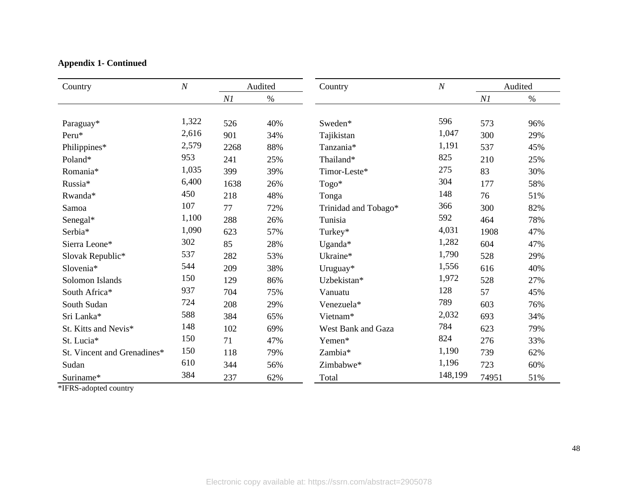## **Appendix 1- Continued**

| Country                     | $\boldsymbol{N}$<br>Audited |      |      | Country                   | $\boldsymbol{N}$ |       | Audited |
|-----------------------------|-----------------------------|------|------|---------------------------|------------------|-------|---------|
|                             |                             | NI   | $\%$ |                           |                  | N1    | $\%$    |
|                             |                             |      |      |                           |                  |       |         |
| Paraguay*                   | 1,322                       | 526  | 40%  | Sweden*                   | 596              | 573   | 96%     |
| Peru*                       | 2,616                       | 901  | 34%  | Tajikistan                | 1,047            | 300   | 29%     |
| Philippines*                | 2,579                       | 2268 | 88%  | Tanzania*                 | 1,191            | 537   | 45%     |
| Poland*                     | 953                         | 241  | 25%  | Thailand*                 | 825              | 210   | 25%     |
| Romania*                    | 1,035                       | 399  | 39%  | Timor-Leste*              | 275              | 83    | 30%     |
| Russia*                     | 6,400                       | 1638 | 26%  | Togo*                     | 304              | 177   | 58%     |
| Rwanda*                     | 450                         | 218  | 48%  | Tonga                     | 148              | 76    | 51%     |
| Samoa                       | 107                         | 77   | 72%  | Trinidad and Tobago*      | 366              | 300   | 82%     |
| Senegal*                    | 1,100                       | 288  | 26%  | Tunisia                   | 592              | 464   | 78%     |
| Serbia*                     | 1,090                       | 623  | 57%  | Turkey*                   | 4,031            | 1908  | 47%     |
| Sierra Leone*               | 302                         | 85   | 28%  | Uganda*                   | 1,282            | 604   | 47%     |
| Slovak Republic*            | 537                         | 282  | 53%  | Ukraine*                  | 1,790            | 528   | 29%     |
| Slovenia*                   | 544                         | 209  | 38%  | Uruguay*                  | 1,556            | 616   | 40%     |
| Solomon Islands             | 150                         | 129  | 86%  | Uzbekistan*               | 1,972            | 528   | 27%     |
| South Africa*               | 937                         | 704  | 75%  | Vanuatu                   | 128              | 57    | 45%     |
| South Sudan                 | 724                         | 208  | 29%  | Venezuela*                | 789              | 603   | 76%     |
| Sri Lanka*                  | 588                         | 384  | 65%  | Vietnam*                  | 2,032            | 693   | 34%     |
| St. Kitts and Nevis*        | 148                         | 102  | 69%  | <b>West Bank and Gaza</b> | 784              | 623   | 79%     |
| St. Lucia*                  | 150                         | 71   | 47%  | Yemen*                    | 824              | 276   | 33%     |
| St. Vincent and Grenadines* | 150                         | 118  | 79%  | Zambia*                   | 1,190            | 739   | 62%     |
| Sudan                       | 610                         | 344  | 56%  | Zimbabwe*                 | 1,196            | 723   | 60%     |
| Suriname*                   | 384                         | 237  | 62%  | Total                     | 148,199          | 74951 | 51%     |

\*IFRS-adopted country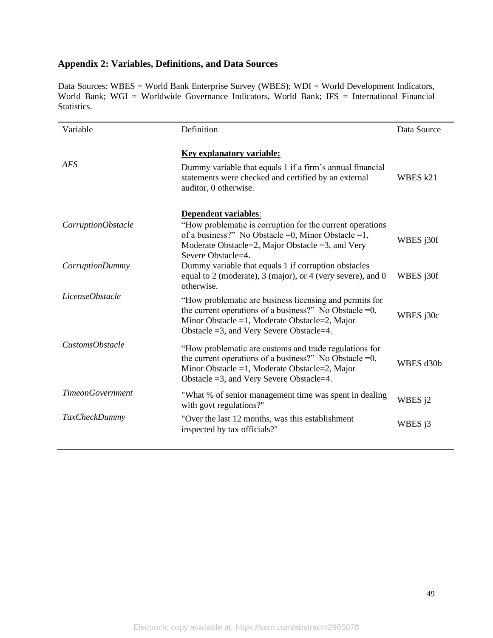## **Appendix 2: Variables, Definitions, and Data Sources**

Data Sources: WBES = World Bank Enterprise Survey (WBES); WDI = World Development Indicators, World Bank; WGI = Worldwide Governance Indicators, World Bank; IFS = International Financial Statistics.

| Variable                | Definition                                                                                                                                                                                                                 | Data Source |
|-------------------------|----------------------------------------------------------------------------------------------------------------------------------------------------------------------------------------------------------------------------|-------------|
| AFS                     | Key explanatory variable:<br>Dummy variable that equals 1 if a firm's annual financial<br>statements were checked and certified by an external<br>auditor, 0 otherwise.                                                    | WBES k21    |
| CorruptionObstacle      | Dependent variables:<br>"How problematic is corruption for the current operations<br>of a business?" No Obstacle =0, Minor Obstacle =1,<br>Moderate Obstacle=2, Major Obstacle =3, and Very<br>Severe Obstacle=4.          | WBES j30f   |
| CorruptionDummy         | Dummy variable that equals 1 if corruption obstacles<br>equal to 2 (moderate), 3 (major), or 4 (very severe), and 0<br>otherwise.                                                                                          | WBES j30f   |
| LicenseObstacle         | "How problematic are business licensing and permits for<br>the current operations of a business?" No Obstacle $=0$ ,<br>Minor Obstacle =1, Moderate Obstacle=2, Major<br>Obstacle $=3$ , and Very Severe Obstacle $=4$ .   | WBES j30c   |
| CustomsObstacle         | "How problematic are customs and trade regulations for<br>the current operations of a business?" No Obstacle $=0$ ,<br>Minor Obstacle = 1, Moderate Obstacle = 2, Major<br>Obstacle $=3$ , and Very Severe Obstacle $=4$ . | WBES d30b   |
| <b>TimeonGovernment</b> | "What % of senior management time was spent in dealing<br>with govt regulations?"                                                                                                                                          | WBES j2     |
| <b>TaxCheckDummy</b>    | "Over the last 12 months, was this establishment<br>inspected by tax officials?"                                                                                                                                           | WBES j3     |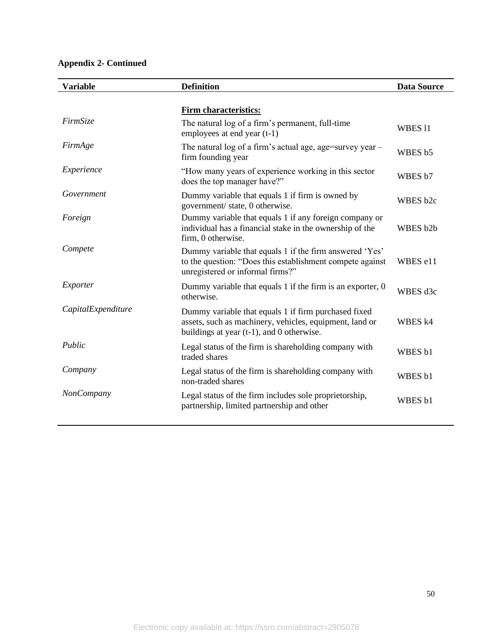## **Appendix 2- Continued**

| <b>Variable</b>    | <b>Definition</b>                                                                                                                                               | <b>Data Source</b> |
|--------------------|-----------------------------------------------------------------------------------------------------------------------------------------------------------------|--------------------|
|                    |                                                                                                                                                                 |                    |
|                    | <b>Firm characteristics:</b>                                                                                                                                    |                    |
| FirmSize           | The natural log of a firm's permanent, full-time<br>employees at end year (t-1)                                                                                 | WBES <sub>11</sub> |
| FirmAge            | The natural log of a firm's actual age, age=survey year -<br>firm founding year                                                                                 | WBES b5            |
| Experience         | "How many years of experience working in this sector<br>does the top manager have?"                                                                             | WBES b7            |
| Government         | Dummy variable that equals 1 if firm is owned by<br>government/ state, 0 otherwise.                                                                             | WBES b2c           |
| Foreign            | Dummy variable that equals 1 if any foreign company or<br>individual has a financial stake in the ownership of the<br>firm, 0 otherwise.                        | WBES b2b           |
| Compete            | Dummy variable that equals 1 if the firm answered 'Yes'<br>to the question: "Does this establishment compete against<br>unregistered or informal firms?"        | WBES e11           |
| Exporter           | Dummy variable that equals 1 if the firm is an exporter, 0<br>otherwise.                                                                                        | WBES d3c           |
| CapitalExpenditure | Dummy variable that equals 1 if firm purchased fixed<br>assets, such as machinery, vehicles, equipment, land or<br>buildings at year $(t-1)$ , and 0 otherwise. | WBES k4            |
| Public             | Legal status of the firm is shareholding company with<br>traded shares                                                                                          | WBES b1            |
| Company            | Legal status of the firm is shareholding company with<br>non-traded shares                                                                                      | WBES b1            |
| <b>NonCompany</b>  | Legal status of the firm includes sole proprietorship,<br>partnership, limited partnership and other                                                            | WBES b1            |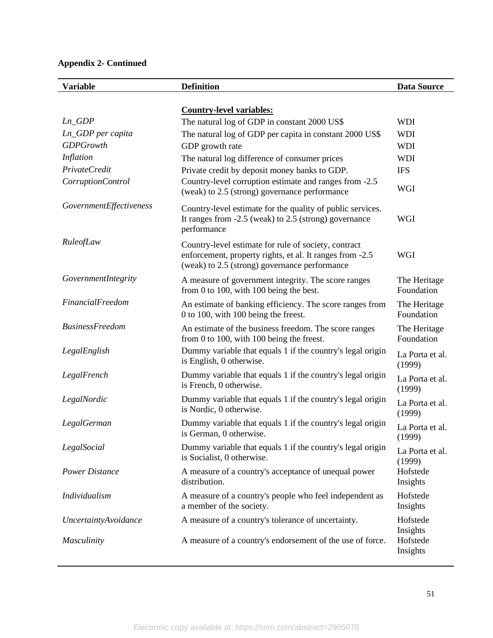## **Appendix 2- Continued**

| <b>Variable</b>             | <b>Definition</b>                                                                                                                                                 | <b>Data Source</b>               |
|-----------------------------|-------------------------------------------------------------------------------------------------------------------------------------------------------------------|----------------------------------|
|                             |                                                                                                                                                                   |                                  |
| $Ln_GDP$                    | <b>Country-level variables:</b>                                                                                                                                   |                                  |
| Ln_GDP per capita           | The natural log of GDP in constant 2000 US\$                                                                                                                      | <b>WDI</b><br><b>WDI</b>         |
| <b>GDPGrowth</b>            | The natural log of GDP per capita in constant 2000 US\$<br>GDP growth rate                                                                                        | <b>WDI</b>                       |
| Inflation                   | The natural log difference of consumer prices                                                                                                                     | <b>WDI</b>                       |
| PrivateCredit               | Private credit by deposit money banks to GDP.                                                                                                                     | <b>IFS</b>                       |
| CorruptionControl           | Country-level corruption estimate and ranges from -2.5<br>(weak) to 2.5 (strong) governance performance                                                           | WGI                              |
| GovernmentEffectiveness     | Country-level estimate for the quality of public services.<br>It ranges from -2.5 (weak) to 2.5 (strong) governance<br>performance                                | WGI                              |
| RuleofLaw                   | Country-level estimate for rule of society, contract<br>enforcement, property rights, et al. It ranges from -2.5<br>(weak) to 2.5 (strong) governance performance | WGI                              |
| GovernmentIntegrity         | A measure of government integrity. The score ranges<br>from 0 to 100, with 100 being the best.                                                                    | The Heritage<br>Foundation       |
| FinancialFreedom            | An estimate of banking efficiency. The score ranges from<br>0 to 100, with 100 being the freest.                                                                  | The Heritage<br>Foundation       |
| <b>BusinessFreedom</b>      | An estimate of the business freedom. The score ranges<br>from 0 to 100, with 100 being the freest.                                                                | The Heritage<br>Foundation       |
| LegalEnglish                | Dummy variable that equals 1 if the country's legal origin<br>is English, 0 otherwise.                                                                            | La Porta et al.<br>(1999)        |
| LegalFrench                 | Dummy variable that equals 1 if the country's legal origin<br>is French, 0 otherwise.                                                                             | La Porta et al.<br>(1999)        |
| LegalNordic                 | Dummy variable that equals 1 if the country's legal origin<br>is Nordic, 0 otherwise.                                                                             | La Porta et al.<br>(1999)        |
| LegalGerman                 | Dummy variable that equals 1 if the country's legal origin<br>is German, 0 otherwise.                                                                             | La Porta et al.<br>(1999)        |
| LegalSocial                 | Dummy variable that equals 1 if the country's legal origin<br>is Socialist, 0 otherwise.                                                                          | La Porta et al.<br>(1999)        |
| <b>Power Distance</b>       | A measure of a country's acceptance of unequal power<br>distribution.                                                                                             | Hofstede<br>Insights             |
| Individualism               | A measure of a country's people who feel independent as<br>a member of the society.                                                                               | Hofstede<br>Insights             |
| <b>UncertaintyAvoidance</b> | A measure of a country's tolerance of uncertainty.                                                                                                                | Hofstede                         |
| <b>Masculinity</b>          | A measure of a country's endorsement of the use of force.                                                                                                         | Insights<br>Hofstede<br>Insights |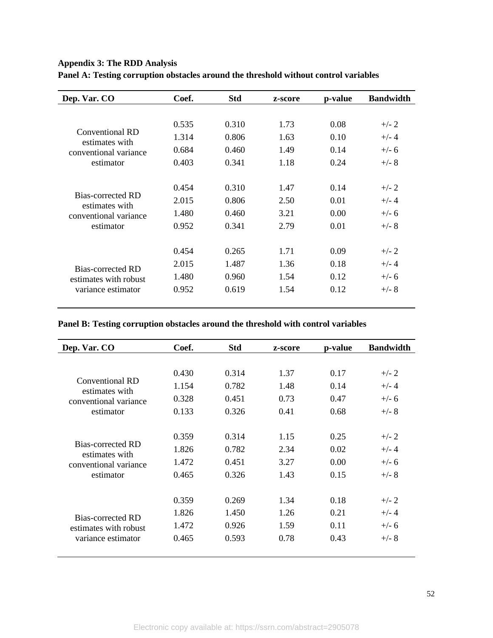| <b>Appendix 3: The RDD Analysis</b> |  |  |  |  |
|-------------------------------------|--|--|--|--|
|-------------------------------------|--|--|--|--|

| Dep. Var. CO                        | Coef. | <b>Std</b> | z-score | p-value | <b>Bandwidth</b> |
|-------------------------------------|-------|------------|---------|---------|------------------|
|                                     |       |            |         |         |                  |
|                                     | 0.535 | 0.310      | 1.73    | 0.08    | $+/- 2$          |
| Conventional RD<br>estimates with   | 1.314 | 0.806      | 1.63    | 0.10    | $+/- 4$          |
| conventional variance               | 0.684 | 0.460      | 1.49    | 0.14    | $+/- 6$          |
| estimator                           | 0.403 | 0.341      | 1.18    | 0.24    | $+/- 8$          |
|                                     |       |            |         |         |                  |
|                                     | 0.454 | 0.310      | 1.47    | 0.14    | $+/- 2$          |
| Bias-corrected RD<br>estimates with | 2.015 | 0.806      | 2.50    | 0.01    | $+/- 4$          |
| conventional variance               | 1.480 | 0.460      | 3.21    | 0.00    | $+/- 6$          |
| estimator                           | 0.952 | 0.341      | 2.79    | 0.01    | $+/- 8$          |
|                                     |       |            |         |         |                  |
|                                     | 0.454 | 0.265      | 1.71    | 0.09    | $+/- 2$          |
| Bias-corrected RD                   | 2.015 | 1.487      | 1.36    | 0.18    | $+/- 4$          |
| estimates with robust               | 1.480 | 0.960      | 1.54    | 0.12    | $+/- 6$          |
| variance estimator                  | 0.952 | 0.619      | 1.54    | 0.12    | $+/- 8$          |
|                                     |       |            |         |         |                  |

**Panel B: Testing corruption obstacles around the threshold with control variables**

| Dep. Var. CO                        | Coef. | <b>Std</b> | z-score | p-value | <b>Bandwidth</b> |
|-------------------------------------|-------|------------|---------|---------|------------------|
|                                     |       |            |         |         |                  |
|                                     | 0.430 | 0.314      | 1.37    | 0.17    | $+/- 2$          |
| Conventional RD<br>estimates with   | 1.154 | 0.782      | 1.48    | 0.14    | $+/- 4$          |
| conventional variance               | 0.328 | 0.451      | 0.73    | 0.47    | $+/- 6$          |
| estimator                           | 0.133 | 0.326      | 0.41    | 0.68    | $+/- 8$          |
|                                     |       |            |         |         |                  |
|                                     | 0.359 | 0.314      | 1.15    | 0.25    | $+/- 2$          |
| Bias-corrected RD<br>estimates with | 1.826 | 0.782      | 2.34    | 0.02    | $+/- 4$          |
| conventional variance               | 1.472 | 0.451      | 3.27    | 0.00    | $+/- 6$          |
| estimator                           | 0.465 | 0.326      | 1.43    | 0.15    | $+/- 8$          |
|                                     |       |            |         |         |                  |
|                                     | 0.359 | 0.269      | 1.34    | 0.18    | $+/- 2$          |
| Bias-corrected RD                   | 1.826 | 1.450      | 1.26    | 0.21    | $+/- 4$          |
| estimates with robust               | 1.472 | 0.926      | 1.59    | 0.11    | $+/- 6$          |
| variance estimator                  | 0.465 | 0.593      | 0.78    | 0.43    | $+/- 8$          |
|                                     |       |            |         |         |                  |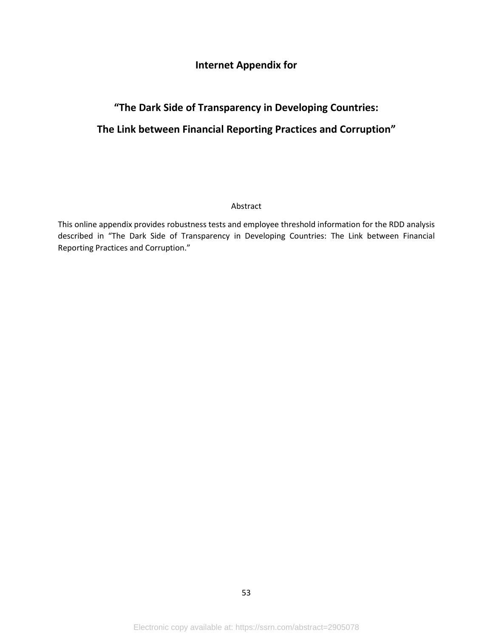## **Internet Appendix for**

# **"The Dark Side of Transparency in Developing Countries: The Link between Financial Reporting Practices and Corruption"**

#### Abstract

This online appendix provides robustness tests and employee threshold information for the RDD analysis described in "The Dark Side of Transparency in Developing Countries: The Link between Financial Reporting Practices and Corruption."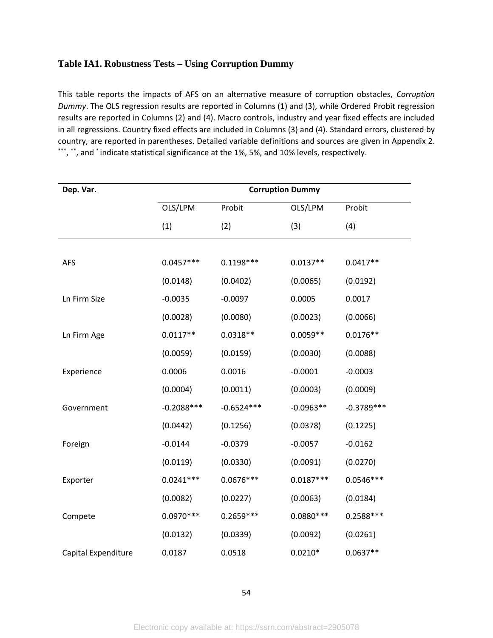#### **Table IA1. Robustness Tests – Using Corruption Dummy**

This table reports the impacts of AFS on an alternative measure of corruption obstacles, *Corruption Dummy*. The OLS regression results are reported in Columns (1) and (3), while Ordered Probit regression results are reported in Columns (2) and (4). Macro controls, industry and year fixed effects are included in all regressions. Country fixed effects are included in Columns (3) and (4). Standard errors, clustered by country, are reported in parentheses. Detailed variable definitions and sources are given in Appendix 2. \*\*\*, \*\*, and \* indicate statistical significance at the 1%, 5%, and 10% levels, respectively.

| Dep. Var.           | <b>Corruption Dummy</b> |              |             |              |  |  |  |  |
|---------------------|-------------------------|--------------|-------------|--------------|--|--|--|--|
|                     | OLS/LPM                 | Probit       | OLS/LPM     | Probit       |  |  |  |  |
|                     | (1)                     | (2)          | (3)         | (4)          |  |  |  |  |
|                     |                         |              |             |              |  |  |  |  |
| <b>AFS</b>          | $0.0457***$             | $0.1198***$  | $0.0137**$  | $0.0417**$   |  |  |  |  |
|                     | (0.0148)                | (0.0402)     | (0.0065)    | (0.0192)     |  |  |  |  |
| Ln Firm Size        | $-0.0035$               | $-0.0097$    | 0.0005      | 0.0017       |  |  |  |  |
|                     | (0.0028)                | (0.0080)     | (0.0023)    | (0.0066)     |  |  |  |  |
| Ln Firm Age         | $0.0117**$              | $0.0318**$   | $0.0059**$  | $0.0176**$   |  |  |  |  |
|                     | (0.0059)                | (0.0159)     | (0.0030)    | (0.0088)     |  |  |  |  |
| Experience          | 0.0006                  | 0.0016       | $-0.0001$   | $-0.0003$    |  |  |  |  |
|                     | (0.0004)                | (0.0011)     | (0.0003)    | (0.0009)     |  |  |  |  |
| Government          | $-0.2088$ ***           | $-0.6524***$ | $-0.0963**$ | $-0.3789***$ |  |  |  |  |
|                     | (0.0442)                | (0.1256)     | (0.0378)    | (0.1225)     |  |  |  |  |
| Foreign             | $-0.0144$               | $-0.0379$    | $-0.0057$   | $-0.0162$    |  |  |  |  |
|                     | (0.0119)                | (0.0330)     | (0.0091)    | (0.0270)     |  |  |  |  |
| Exporter            | $0.0241***$             | $0.0676***$  | $0.0187***$ | $0.0546***$  |  |  |  |  |
|                     | (0.0082)                | (0.0227)     | (0.0063)    | (0.0184)     |  |  |  |  |
| Compete             | $0.0970***$             | $0.2659***$  | $0.0880***$ | 0.2588 ***   |  |  |  |  |
|                     | (0.0132)                | (0.0339)     | (0.0092)    | (0.0261)     |  |  |  |  |
| Capital Expenditure | 0.0187                  | 0.0518       | $0.0210*$   | $0.0637**$   |  |  |  |  |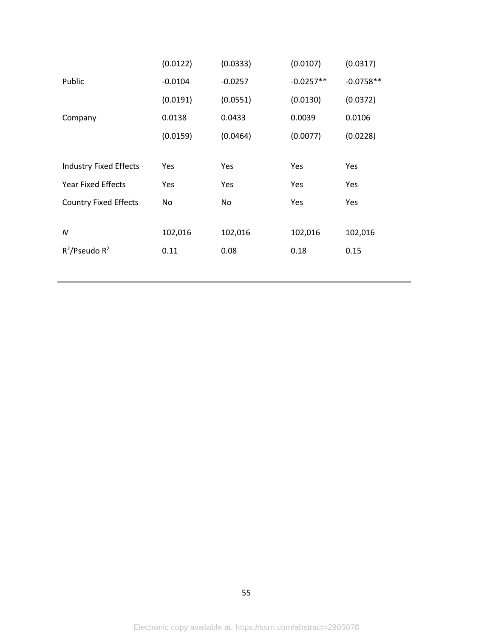|                               | (0.0122)   | (0.0333)   | (0.0107)    | (0.0317)    |
|-------------------------------|------------|------------|-------------|-------------|
| Public                        | $-0.0104$  | $-0.0257$  | $-0.0257**$ | $-0.0758**$ |
|                               | (0.0191)   | (0.0551)   | (0.0130)    | (0.0372)    |
| Company                       | 0.0138     | 0.0433     | 0.0039      | 0.0106      |
|                               | (0.0159)   | (0.0464)   | (0.0077)    | (0.0228)    |
|                               |            |            |             |             |
| <b>Industry Fixed Effects</b> | Yes        | Yes        | Yes         | Yes         |
| <b>Year Fixed Effects</b>     | <b>Yes</b> | <b>Yes</b> | Yes         | <b>Yes</b>  |
| <b>Country Fixed Effects</b>  | No.        | No         | Yes         | Yes         |
|                               |            |            |             |             |
| N                             | 102,016    | 102,016    | 102,016     | 102,016     |
| $R^2$ /Pseudo R <sup>2</sup>  | 0.11       | 0.08       | 0.18        | 0.15        |
|                               |            |            |             |             |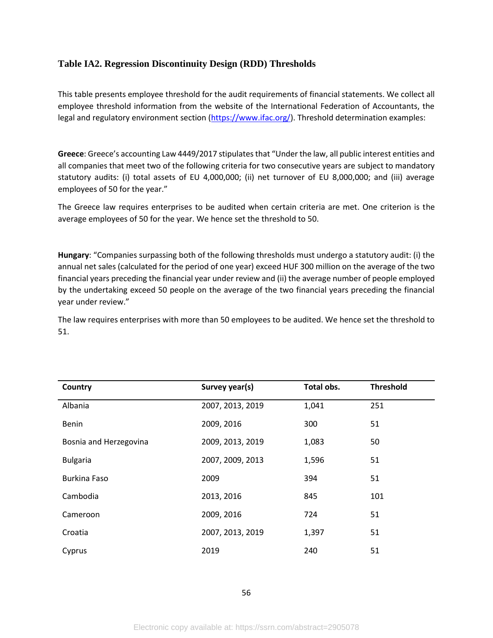#### **Table IA2. Regression Discontinuity Design (RDD) Thresholds**

This table presents employee threshold for the audit requirements of financial statements. We collect all employee threshold information from the website of the International Federation of Accountants, the legal and regulatory environment section [\(https://www.ifac.org/\)](https://www.ifac.org/). Threshold determination examples:

**Greece**: Greece's accounting Law 4449/2017 stipulates that "Under the law, all public interest entities and all companies that meet two of the following criteria for two consecutive years are subject to mandatory statutory audits: (i) total assets of EU 4,000,000; (ii) net turnover of EU 8,000,000; and (iii) average employees of 50 for the year."

The Greece law requires enterprises to be audited when certain criteria are met. One criterion is the average employees of 50 for the year. We hence set the threshold to 50.

**Hungary**: "Companies surpassing both of the following thresholds must undergo a statutory audit: (i) the annual net sales (calculated for the period of one year) exceed HUF 300 million on the average of the two financial years preceding the financial year under review and (ii) the average number of people employed by the undertaking exceed 50 people on the average of the two financial years preceding the financial year under review."

The law requires enterprises with more than 50 employees to be audited. We hence set the threshold to 51.

| Country                | Survey year(s)   | Total obs. | <b>Threshold</b> |
|------------------------|------------------|------------|------------------|
| Albania                | 2007, 2013, 2019 | 1,041      | 251              |
| Benin                  | 2009, 2016       | 300        | 51               |
| Bosnia and Herzegovina | 2009, 2013, 2019 | 1,083      | 50               |
| <b>Bulgaria</b>        | 2007, 2009, 2013 | 1,596      | 51               |
| <b>Burkina Faso</b>    | 2009             | 394        | 51               |
| Cambodia               | 2013, 2016       | 845        | 101              |
| Cameroon               | 2009, 2016       | 724        | 51               |
| Croatia                | 2007, 2013, 2019 | 1,397      | 51               |
| Cyprus                 | 2019             | 240        | 51               |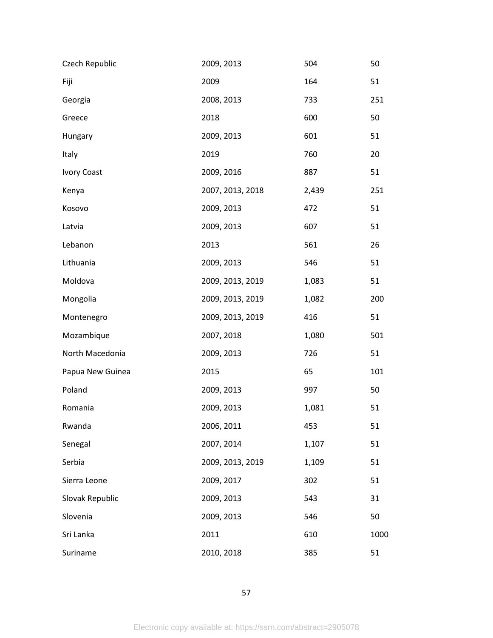| Czech Republic     | 2009, 2013       | 504   | 50   |
|--------------------|------------------|-------|------|
| Fiji               | 2009             | 164   | 51   |
| Georgia            | 2008, 2013       | 733   | 251  |
| Greece             | 2018             | 600   | 50   |
| Hungary            | 2009, 2013       | 601   | 51   |
| Italy              | 2019             | 760   | 20   |
| <b>Ivory Coast</b> | 2009, 2016       | 887   | 51   |
| Kenya              | 2007, 2013, 2018 | 2,439 | 251  |
| Kosovo             | 2009, 2013       | 472   | 51   |
| Latvia             | 2009, 2013       | 607   | 51   |
| Lebanon            | 2013             | 561   | 26   |
| Lithuania          | 2009, 2013       | 546   | 51   |
| Moldova            | 2009, 2013, 2019 | 1,083 | 51   |
| Mongolia           | 2009, 2013, 2019 | 1,082 | 200  |
| Montenegro         | 2009, 2013, 2019 | 416   | 51   |
| Mozambique         | 2007, 2018       | 1,080 | 501  |
| North Macedonia    | 2009, 2013       | 726   | 51   |
| Papua New Guinea   | 2015             | 65    | 101  |
| Poland             | 2009, 2013       | 997   | 50   |
| Romania            | 2009, 2013       | 1,081 | 51   |
| Rwanda             | 2006, 2011       | 453   | 51   |
| Senegal            | 2007, 2014       | 1,107 | 51   |
| Serbia             | 2009, 2013, 2019 | 1,109 | 51   |
| Sierra Leone       | 2009, 2017       | 302   | 51   |
| Slovak Republic    | 2009, 2013       | 543   | 31   |
| Slovenia           | 2009, 2013       | 546   | 50   |
| Sri Lanka          | 2011             | 610   | 1000 |
| Suriname           | 2010, 2018       | 385   | 51   |